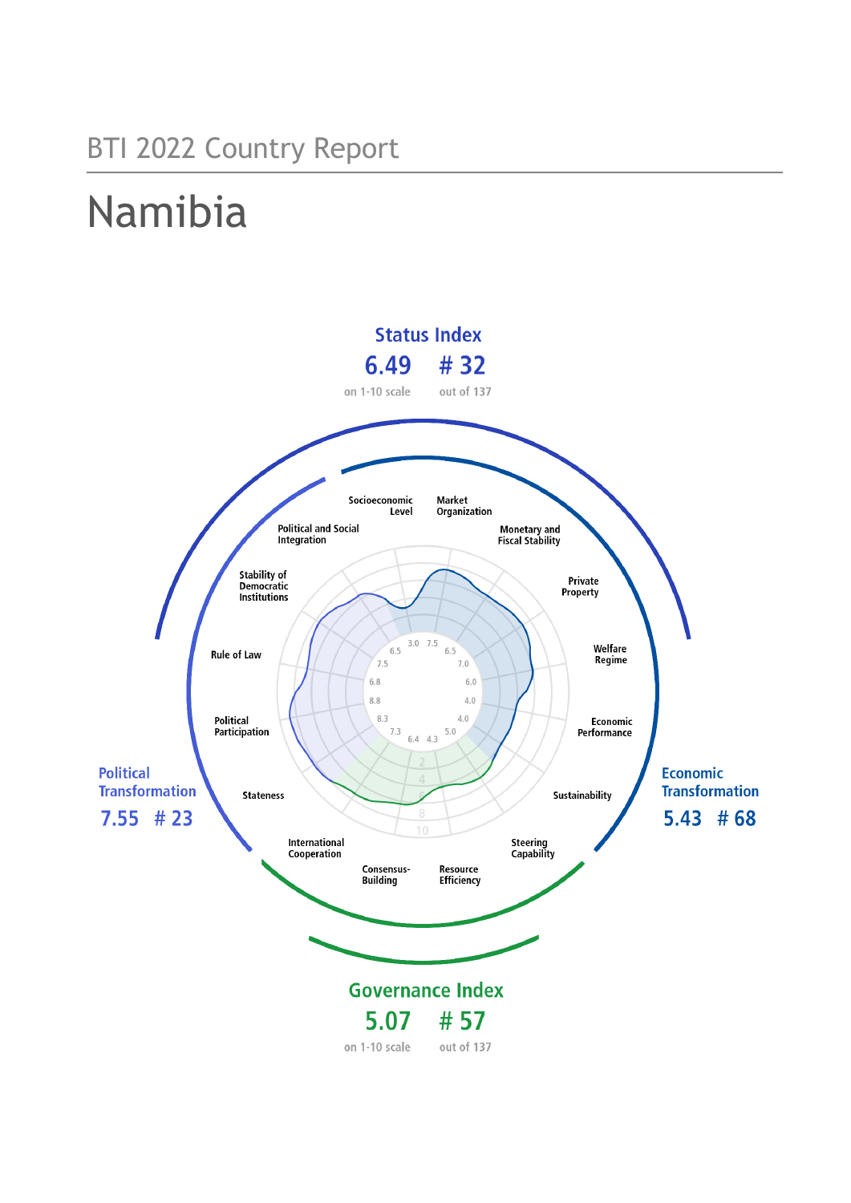## BTI 2022 Country Report

# Namibia

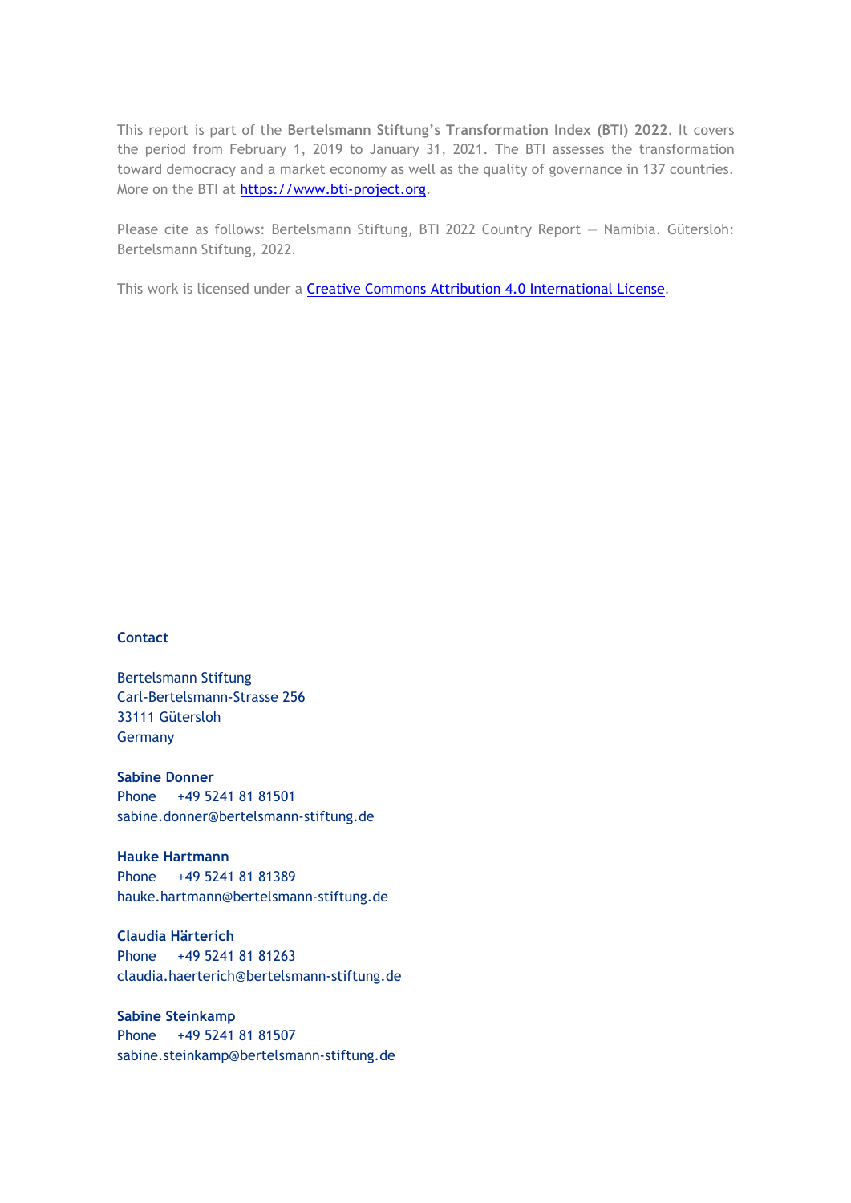This report is part of the **Bertelsmann Stiftung's Transformation Index (BTI) 2022**. It covers the period from February 1, 2019 to January 31, 2021. The BTI assesses the transformation toward democracy and a market economy as well as the quality of governance in 137 countries. More on the BTI at [https://www.bti-project.org.](https://www.bti-project.org/)

Please cite as follows: Bertelsmann Stiftung, BTI 2022 Country Report — Namibia. Gütersloh: Bertelsmann Stiftung, 2022.

This work is licensed under a **Creative Commons Attribution 4.0 International License**.

#### **Contact**

Bertelsmann Stiftung Carl-Bertelsmann-Strasse 256 33111 Gütersloh Germany

**Sabine Donner** Phone +49 5241 81 81501 sabine.donner@bertelsmann-stiftung.de

**Hauke Hartmann** Phone +49 5241 81 81389 hauke.hartmann@bertelsmann-stiftung.de

**Claudia Härterich** Phone +49 5241 81 81263 claudia.haerterich@bertelsmann-stiftung.de

#### **Sabine Steinkamp** Phone +49 5241 81 81507 sabine.steinkamp@bertelsmann-stiftung.de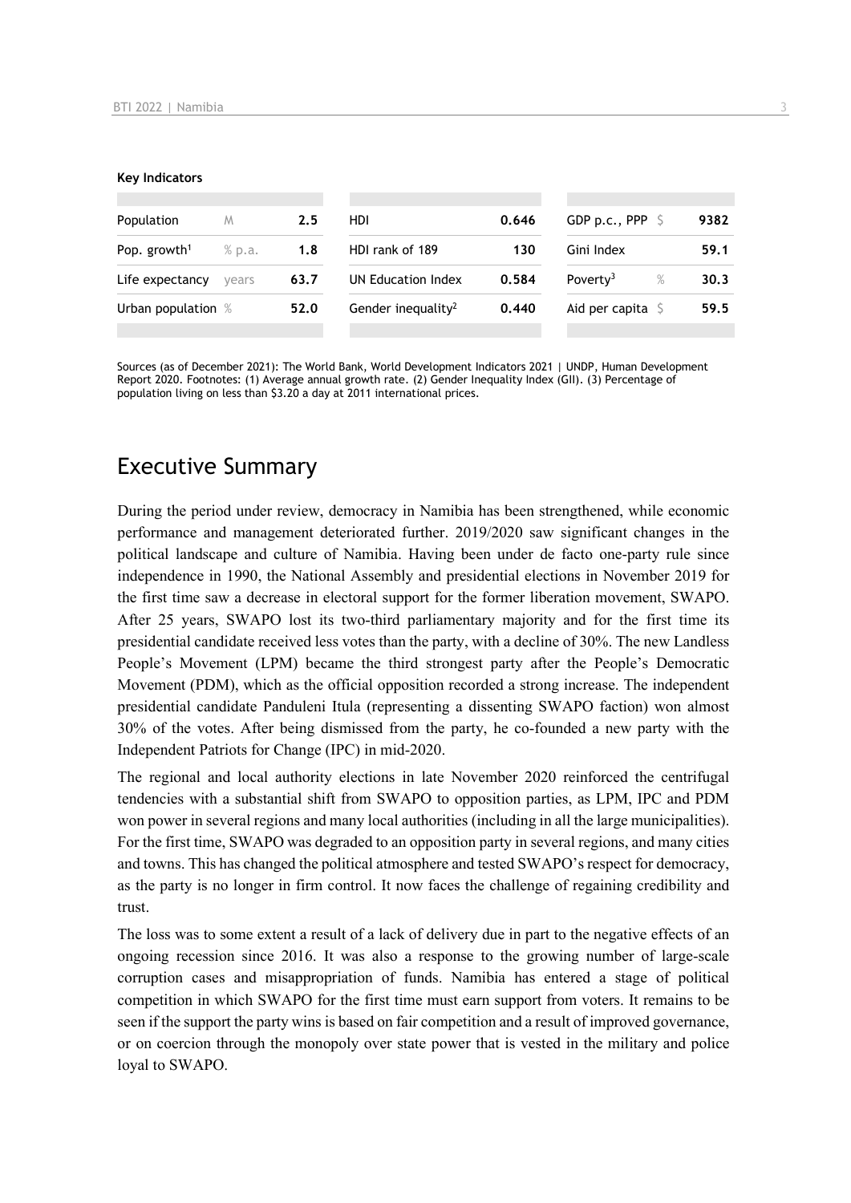#### **Key Indicators**

| Population               | M      | 2.5  | HDI                            | 0.646 | GDP p.c., PPP $\ S$          | 9382 |
|--------------------------|--------|------|--------------------------------|-------|------------------------------|------|
| Pop. growth <sup>1</sup> | % p.a. | 1.8  | HDI rank of 189                | 130   | Gini Index                   | 59.1 |
| Life expectancy          | vears  | 63.7 | UN Education Index             | 0.584 | $\%$<br>Poverty <sup>3</sup> | 30.3 |
| Urban population %       |        | 52.0 | Gender inequality <sup>2</sup> | 0.440 | Aid per capita $\mathsf S$   | 59.5 |
|                          |        |      |                                |       |                              |      |

Sources (as of December 2021): The World Bank, World Development Indicators 2021 | UNDP, Human Development Report 2020. Footnotes: (1) Average annual growth rate. (2) Gender Inequality Index (GII). (3) Percentage of population living on less than \$3.20 a day at 2011 international prices.

## Executive Summary

During the period under review, democracy in Namibia has been strengthened, while economic performance and management deteriorated further. 2019/2020 saw significant changes in the political landscape and culture of Namibia. Having been under de facto one-party rule since independence in 1990, the National Assembly and presidential elections in November 2019 for the first time saw a decrease in electoral support for the former liberation movement, SWAPO. After 25 years, SWAPO lost its two-third parliamentary majority and for the first time its presidential candidate received less votes than the party, with a decline of 30%. The new Landless People's Movement (LPM) became the third strongest party after the People's Democratic Movement (PDM), which as the official opposition recorded a strong increase. The independent presidential candidate Panduleni Itula (representing a dissenting SWAPO faction) won almost 30% of the votes. After being dismissed from the party, he co-founded a new party with the Independent Patriots for Change (IPC) in mid-2020.

The regional and local authority elections in late November 2020 reinforced the centrifugal tendencies with a substantial shift from SWAPO to opposition parties, as LPM, IPC and PDM won power in several regions and many local authorities (including in all the large municipalities). For the first time, SWAPO was degraded to an opposition party in several regions, and many cities and towns. This has changed the political atmosphere and tested SWAPO's respect for democracy, as the party is no longer in firm control. It now faces the challenge of regaining credibility and trust.

The loss was to some extent a result of a lack of delivery due in part to the negative effects of an ongoing recession since 2016. It was also a response to the growing number of large-scale corruption cases and misappropriation of funds. Namibia has entered a stage of political competition in which SWAPO for the first time must earn support from voters. It remains to be seen if the support the party wins is based on fair competition and a result of improved governance, or on coercion through the monopoly over state power that is vested in the military and police loyal to SWAPO.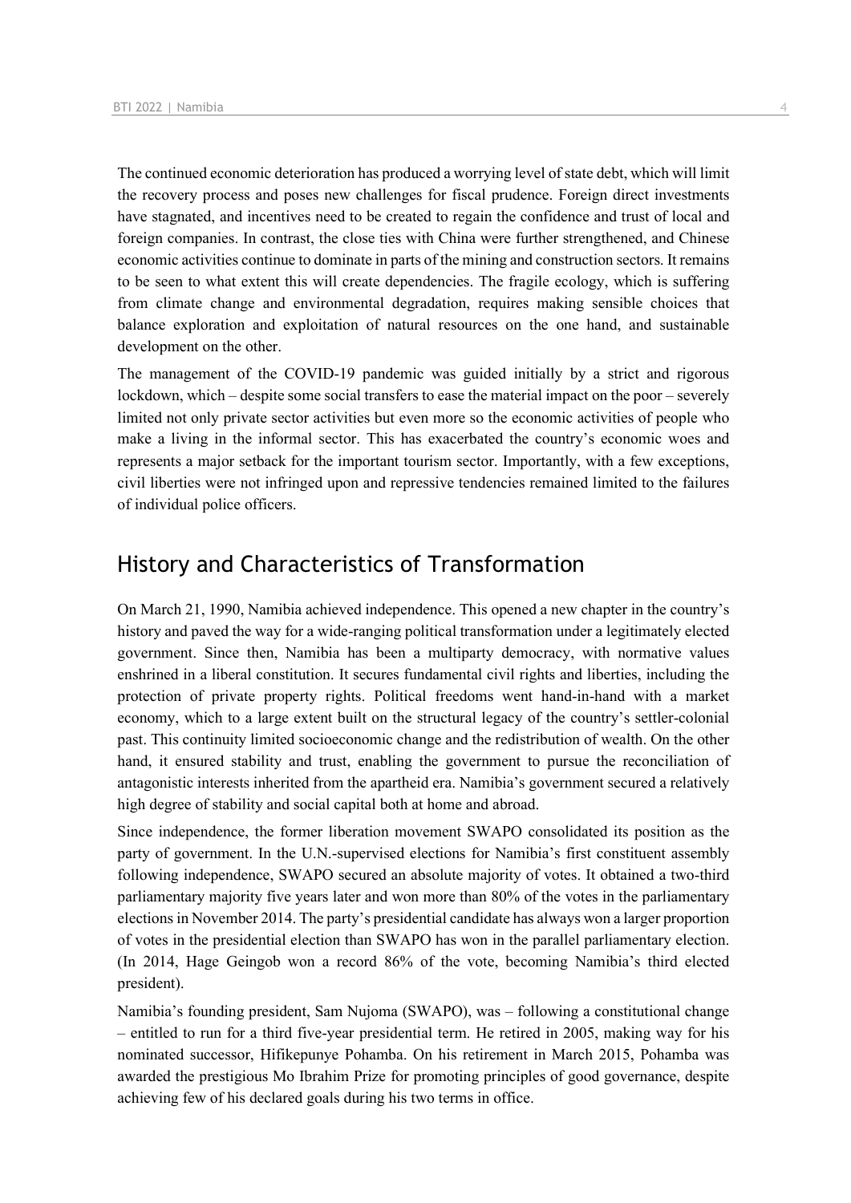The continued economic deterioration has produced a worrying level of state debt, which will limit the recovery process and poses new challenges for fiscal prudence. Foreign direct investments have stagnated, and incentives need to be created to regain the confidence and trust of local and foreign companies. In contrast, the close ties with China were further strengthened, and Chinese economic activities continue to dominate in parts of the mining and construction sectors. It remains to be seen to what extent this will create dependencies. The fragile ecology, which is suffering from climate change and environmental degradation, requires making sensible choices that balance exploration and exploitation of natural resources on the one hand, and sustainable development on the other.

The management of the COVID-19 pandemic was guided initially by a strict and rigorous lockdown, which – despite some social transfers to ease the material impact on the poor – severely limited not only private sector activities but even more so the economic activities of people who make a living in the informal sector. This has exacerbated the country's economic woes and represents a major setback for the important tourism sector. Importantly, with a few exceptions, civil liberties were not infringed upon and repressive tendencies remained limited to the failures of individual police officers.

## History and Characteristics of Transformation

On March 21, 1990, Namibia achieved independence. This opened a new chapter in the country's history and paved the way for a wide-ranging political transformation under a legitimately elected government. Since then, Namibia has been a multiparty democracy, with normative values enshrined in a liberal constitution. It secures fundamental civil rights and liberties, including the protection of private property rights. Political freedoms went hand-in-hand with a market economy, which to a large extent built on the structural legacy of the country's settler-colonial past. This continuity limited socioeconomic change and the redistribution of wealth. On the other hand, it ensured stability and trust, enabling the government to pursue the reconciliation of antagonistic interests inherited from the apartheid era. Namibia's government secured a relatively high degree of stability and social capital both at home and abroad.

Since independence, the former liberation movement SWAPO consolidated its position as the party of government. In the U.N.-supervised elections for Namibia's first constituent assembly following independence, SWAPO secured an absolute majority of votes. It obtained a two-third parliamentary majority five years later and won more than 80% of the votes in the parliamentary elections in November 2014. The party's presidential candidate has always won a larger proportion of votes in the presidential election than SWAPO has won in the parallel parliamentary election. (In 2014, Hage Geingob won a record 86% of the vote, becoming Namibia's third elected president).

Namibia's founding president, Sam Nujoma (SWAPO), was – following a constitutional change – entitled to run for a third five-year presidential term. He retired in 2005, making way for his nominated successor, Hifikepunye Pohamba. On his retirement in March 2015, Pohamba was awarded the prestigious Mo Ibrahim Prize for promoting principles of good governance, despite achieving few of his declared goals during his two terms in office.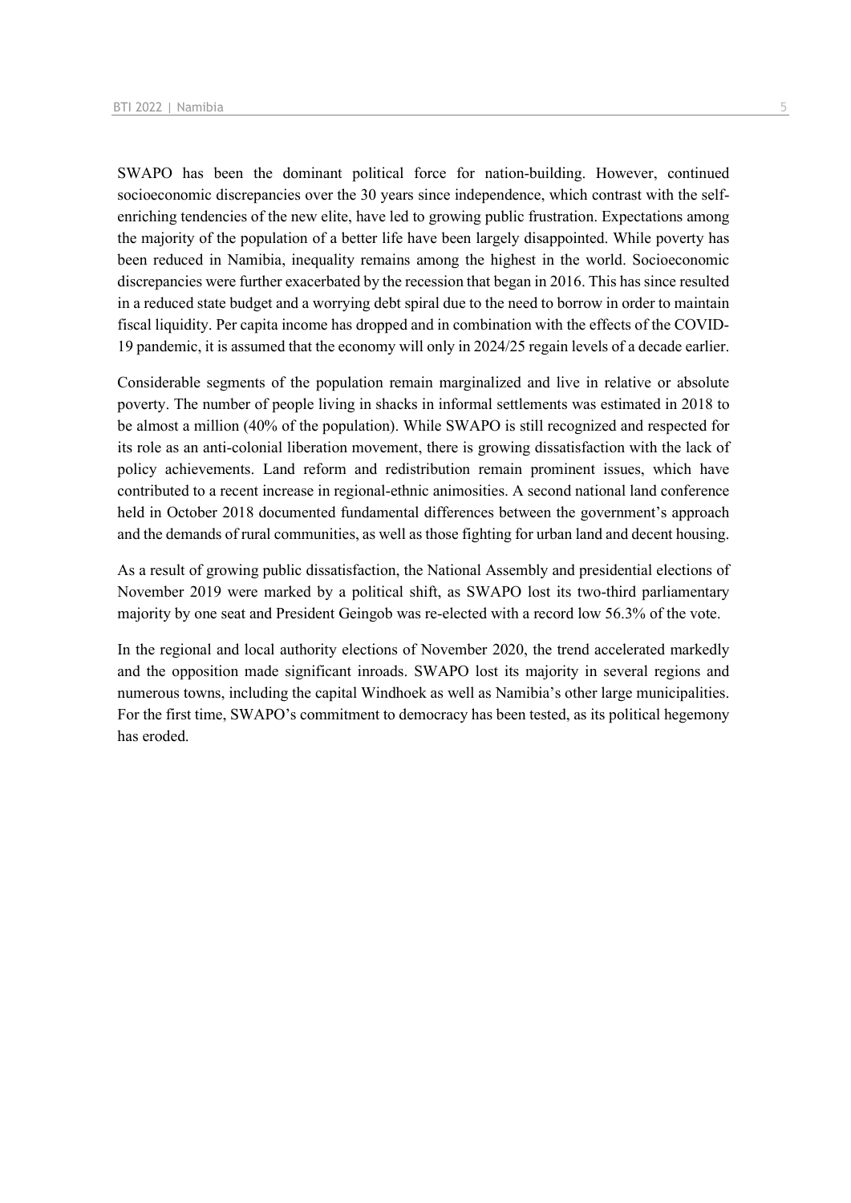SWAPO has been the dominant political force for nation-building. However, continued socioeconomic discrepancies over the 30 years since independence, which contrast with the selfenriching tendencies of the new elite, have led to growing public frustration. Expectations among the majority of the population of a better life have been largely disappointed. While poverty has been reduced in Namibia, inequality remains among the highest in the world. Socioeconomic discrepancies were further exacerbated by the recession that began in 2016. This has since resulted in a reduced state budget and a worrying debt spiral due to the need to borrow in order to maintain fiscal liquidity. Per capita income has dropped and in combination with the effects of the COVID-19 pandemic, it is assumed that the economy will only in 2024/25 regain levels of a decade earlier.

Considerable segments of the population remain marginalized and live in relative or absolute poverty. The number of people living in shacks in informal settlements was estimated in 2018 to be almost a million (40% of the population). While SWAPO is still recognized and respected for its role as an anti-colonial liberation movement, there is growing dissatisfaction with the lack of policy achievements. Land reform and redistribution remain prominent issues, which have contributed to a recent increase in regional-ethnic animosities. A second national land conference held in October 2018 documented fundamental differences between the government's approach and the demands of rural communities, as well as those fighting for urban land and decent housing.

As a result of growing public dissatisfaction, the National Assembly and presidential elections of November 2019 were marked by a political shift, as SWAPO lost its two-third parliamentary majority by one seat and President Geingob was re-elected with a record low 56.3% of the vote.

In the regional and local authority elections of November 2020, the trend accelerated markedly and the opposition made significant inroads. SWAPO lost its majority in several regions and numerous towns, including the capital Windhoek as well as Namibia's other large municipalities. For the first time, SWAPO's commitment to democracy has been tested, as its political hegemony has eroded.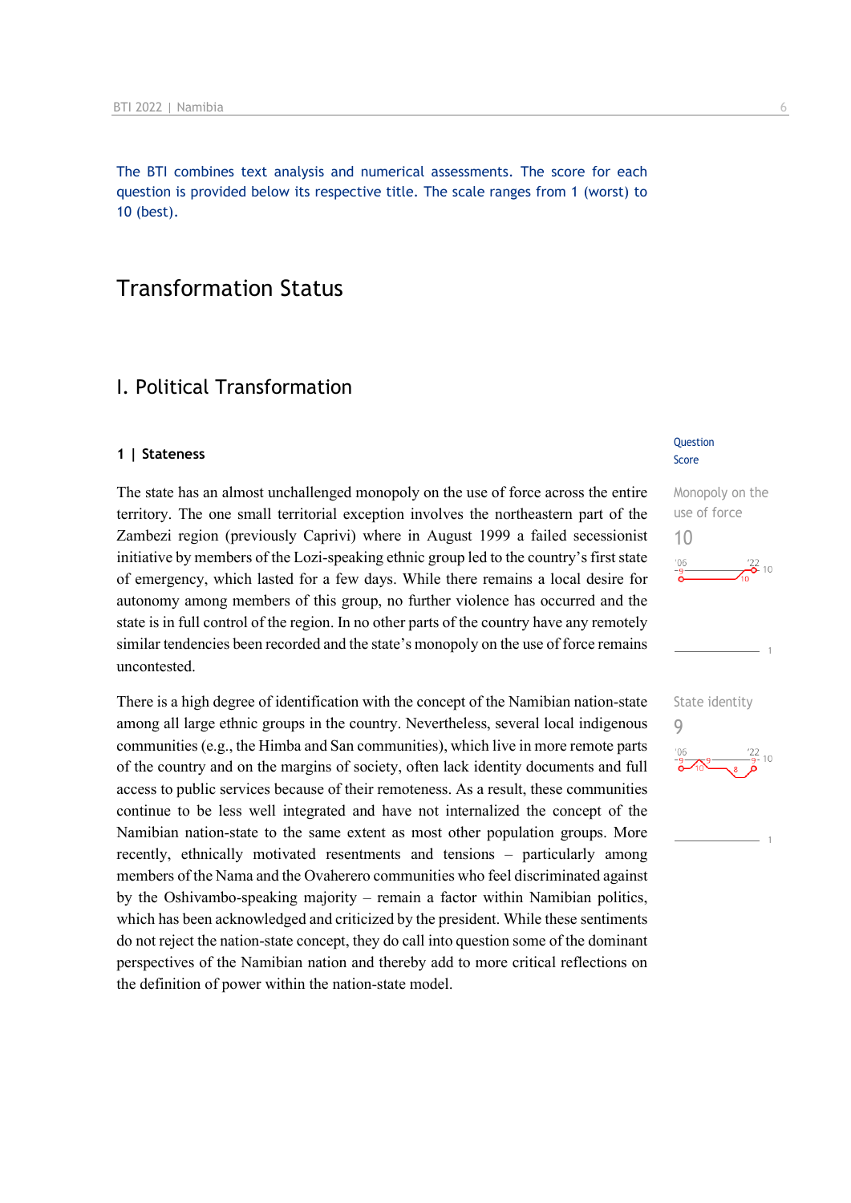The BTI combines text analysis and numerical assessments. The score for each question is provided below its respective title. The scale ranges from 1 (worst) to 10 (best).

## Transformation Status

## I. Political Transformation

#### **1 | Stateness**

The state has an almost unchallenged monopoly on the use of force across the entire territory. The one small territorial exception involves the northeastern part of the Zambezi region (previously Caprivi) where in August 1999 a failed secessionist initiative by members of the Lozi-speaking ethnic group led to the country's first state of emergency, which lasted for a few days. While there remains a local desire for autonomy among members of this group, no further violence has occurred and the state is in full control of the region. In no other parts of the country have any remotely similar tendencies been recorded and the state's monopoly on the use of force remains uncontested.

There is a high degree of identification with the concept of the Namibian nation-state among all large ethnic groups in the country. Nevertheless, several local indigenous communities (e.g., the Himba and San communities), which live in more remote parts of the country and on the margins of society, often lack identity documents and full access to public services because of their remoteness. As a result, these communities continue to be less well integrated and have not internalized the concept of the Namibian nation-state to the same extent as most other population groups. More recently, ethnically motivated resentments and tensions – particularly among members of the Nama and the Ovaherero communities who feel discriminated against by the Oshivambo-speaking majority – remain a factor within Namibian politics, which has been acknowledged and criticized by the president. While these sentiments do not reject the nation-state concept, they do call into question some of the dominant perspectives of the Namibian nation and thereby add to more critical reflections on the definition of power within the nation-state model.

#### **Question** Score



State identity

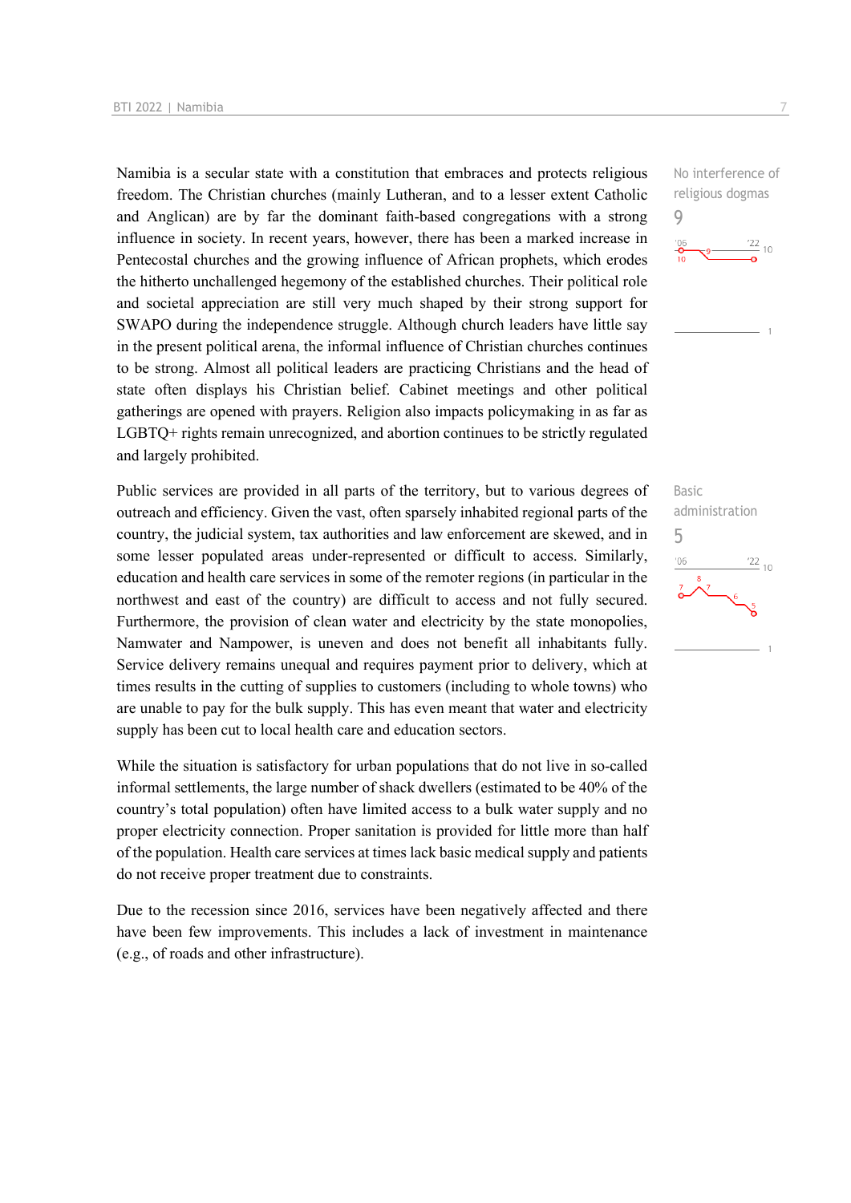Namibia is a secular state with a constitution that embraces and protects religious freedom. The Christian churches (mainly Lutheran, and to a lesser extent Catholic and Anglican) are by far the dominant faith-based congregations with a strong influence in society. In recent years, however, there has been a marked increase in Pentecostal churches and the growing influence of African prophets, which erodes the hitherto unchallenged hegemony of the established churches. Their political role and societal appreciation are still very much shaped by their strong support for SWAPO during the independence struggle. Although church leaders have little say in the present political arena, the informal influence of Christian churches continues to be strong. Almost all political leaders are practicing Christians and the head of state often displays his Christian belief. Cabinet meetings and other political gatherings are opened with prayers. Religion also impacts policymaking in as far as LGBTQ+ rights remain unrecognized, and abortion continues to be strictly regulated and largely prohibited.

Public services are provided in all parts of the territory, but to various degrees of outreach and efficiency. Given the vast, often sparsely inhabited regional parts of the country, the judicial system, tax authorities and law enforcement are skewed, and in some lesser populated areas under-represented or difficult to access. Similarly, education and health care services in some of the remoter regions (in particular in the northwest and east of the country) are difficult to access and not fully secured. Furthermore, the provision of clean water and electricity by the state monopolies, Namwater and Nampower, is uneven and does not benefit all inhabitants fully. Service delivery remains unequal and requires payment prior to delivery, which at times results in the cutting of supplies to customers (including to whole towns) who are unable to pay for the bulk supply. This has even meant that water and electricity supply has been cut to local health care and education sectors.

While the situation is satisfactory for urban populations that do not live in so-called informal settlements, the large number of shack dwellers (estimated to be 40% of the country's total population) often have limited access to a bulk water supply and no proper electricity connection. Proper sanitation is provided for little more than half of the population. Health care services at times lack basic medical supply and patients do not receive proper treatment due to constraints.

Due to the recession since 2016, services have been negatively affected and there have been few improvements. This includes a lack of investment in maintenance (e.g., of roads and other infrastructure).





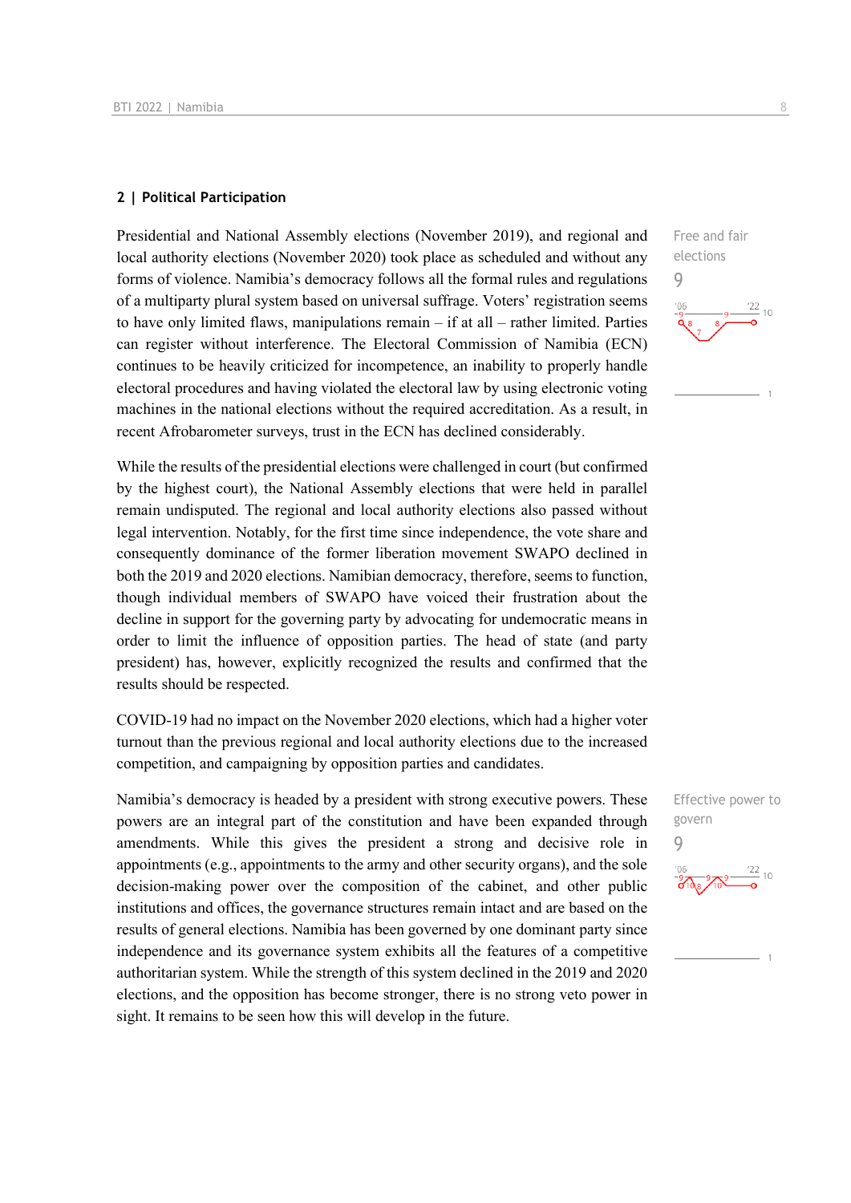#### **2 | Political Participation**

Presidential and National Assembly elections (November 2019), and regional and local authority elections (November 2020) took place as scheduled and without any forms of violence. Namibia's democracy follows all the formal rules and regulations of a multiparty plural system based on universal suffrage. Voters' registration seems to have only limited flaws, manipulations remain – if at all – rather limited. Parties can register without interference. The Electoral Commission of Namibia (ECN) continues to be heavily criticized for incompetence, an inability to properly handle electoral procedures and having violated the electoral law by using electronic voting machines in the national elections without the required accreditation. As a result, in recent Afrobarometer surveys, trust in the ECN has declined considerably.

While the results of the presidential elections were challenged in court (but confirmed by the highest court), the National Assembly elections that were held in parallel remain undisputed. The regional and local authority elections also passed without legal intervention. Notably, for the first time since independence, the vote share and consequently dominance of the former liberation movement SWAPO declined in both the 2019 and 2020 elections. Namibian democracy, therefore, seems to function, though individual members of SWAPO have voiced their frustration about the decline in support for the governing party by advocating for undemocratic means in order to limit the influence of opposition parties. The head of state (and party president) has, however, explicitly recognized the results and confirmed that the results should be respected.

COVID-19 had no impact on the November 2020 elections, which had a higher voter turnout than the previous regional and local authority elections due to the increased competition, and campaigning by opposition parties and candidates.

Namibia's democracy is headed by a president with strong executive powers. These powers are an integral part of the constitution and have been expanded through amendments. While this gives the president a strong and decisive role in appointments (e.g., appointments to the army and other security organs), and the sole decision-making power over the composition of the cabinet, and other public institutions and offices, the governance structures remain intact and are based on the results of general elections. Namibia has been governed by one dominant party since independence and its governance system exhibits all the features of a competitive authoritarian system. While the strength of this system declined in the 2019 and 2020 elections, and the opposition has become stronger, there is no strong veto power in sight. It remains to be seen how this will develop in the future.



Effective power to govern 9

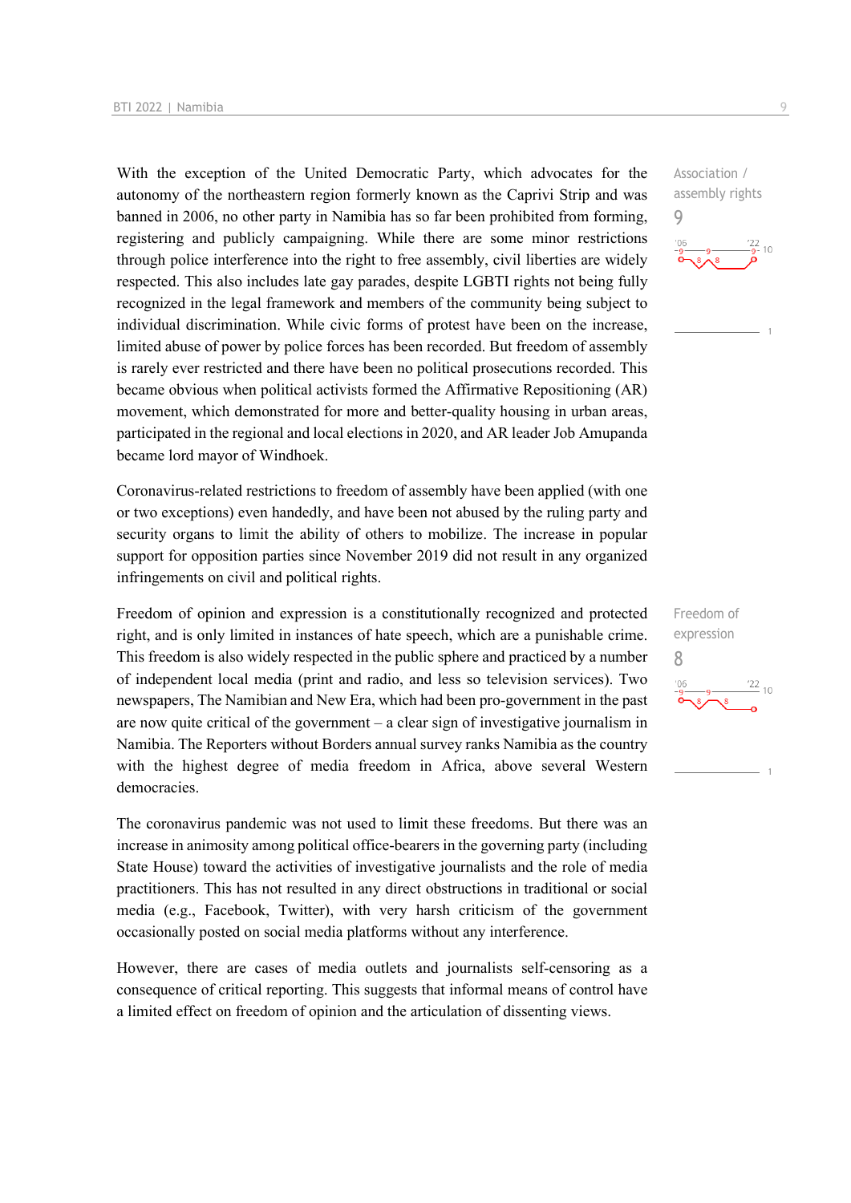With the exception of the United Democratic Party, which advocates for the autonomy of the northeastern region formerly known as the Caprivi Strip and was banned in 2006, no other party in Namibia has so far been prohibited from forming, registering and publicly campaigning. While there are some minor restrictions through police interference into the right to free assembly, civil liberties are widely respected. This also includes late gay parades, despite LGBTI rights not being fully recognized in the legal framework and members of the community being subject to individual discrimination. While civic forms of protest have been on the increase, limited abuse of power by police forces has been recorded. But freedom of assembly is rarely ever restricted and there have been no political prosecutions recorded. This became obvious when political activists formed the Affirmative Repositioning (AR) movement, which demonstrated for more and better-quality housing in urban areas, participated in the regional and local elections in 2020, and AR leader Job Amupanda became lord mayor of Windhoek.

Coronavirus-related restrictions to freedom of assembly have been applied (with one or two exceptions) even handedly, and have been not abused by the ruling party and security organs to limit the ability of others to mobilize. The increase in popular support for opposition parties since November 2019 did not result in any organized infringements on civil and political rights.

Freedom of opinion and expression is a constitutionally recognized and protected right, and is only limited in instances of hate speech, which are a punishable crime. This freedom is also widely respected in the public sphere and practiced by a number of independent local media (print and radio, and less so television services). Two newspapers, The Namibian and New Era, which had been pro-government in the past are now quite critical of the government – a clear sign of investigative journalism in Namibia. The Reporters without Borders annual survey ranks Namibia as the country with the highest degree of media freedom in Africa, above several Western democracies.

The coronavirus pandemic was not used to limit these freedoms. But there was an increase in animosity among political office-bearers in the governing party (including State House) toward the activities of investigative journalists and the role of media practitioners. This has not resulted in any direct obstructions in traditional or social media (e.g., Facebook, Twitter), with very harsh criticism of the government occasionally posted on social media platforms without any interference.

However, there are cases of media outlets and journalists self-censoring as a consequence of critical reporting. This suggests that informal means of control have a limited effect on freedom of opinion and the articulation of dissenting views.

Association / assembly rights 9  $\frac{22}{9}$ - 10

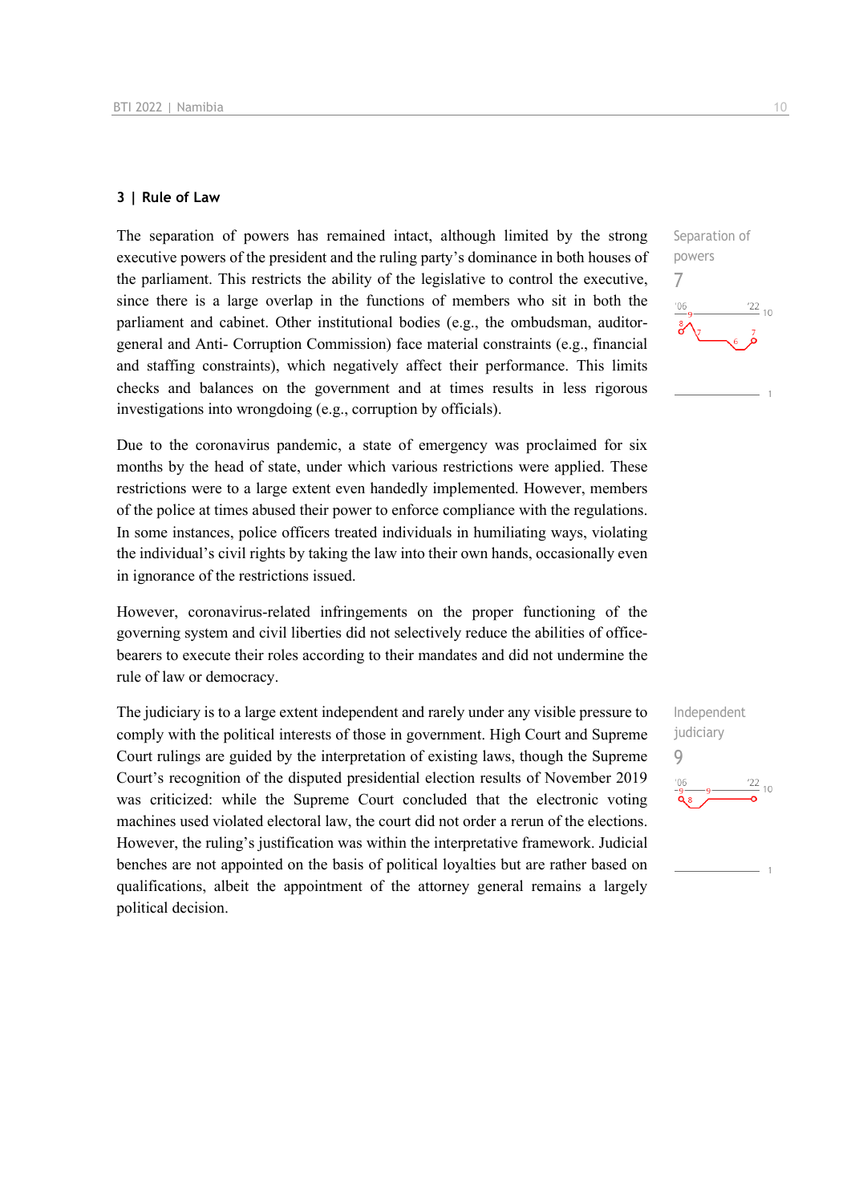#### **3 | Rule of Law**

The separation of powers has remained intact, although limited by the strong executive powers of the president and the ruling party's dominance in both houses of the parliament. This restricts the ability of the legislative to control the executive, since there is a large overlap in the functions of members who sit in both the parliament and cabinet. Other institutional bodies (e.g., the ombudsman, auditorgeneral and Anti- Corruption Commission) face material constraints (e.g., financial and staffing constraints), which negatively affect their performance. This limits checks and balances on the government and at times results in less rigorous investigations into wrongdoing (e.g., corruption by officials).

Due to the coronavirus pandemic, a state of emergency was proclaimed for six months by the head of state, under which various restrictions were applied. These restrictions were to a large extent even handedly implemented. However, members of the police at times abused their power to enforce compliance with the regulations. In some instances, police officers treated individuals in humiliating ways, violating the individual's civil rights by taking the law into their own hands, occasionally even in ignorance of the restrictions issued.

However, coronavirus-related infringements on the proper functioning of the governing system and civil liberties did not selectively reduce the abilities of officebearers to execute their roles according to their mandates and did not undermine the rule of law or democracy.

The judiciary is to a large extent independent and rarely under any visible pressure to comply with the political interests of those in government. High Court and Supreme Court rulings are guided by the interpretation of existing laws, though the Supreme Court's recognition of the disputed presidential election results of November 2019 was criticized: while the Supreme Court concluded that the electronic voting machines used violated electoral law, the court did not order a rerun of the elections. However, the ruling's justification was within the interpretative framework. Judicial benches are not appointed on the basis of political loyalties but are rather based on qualifications, albeit the appointment of the attorney general remains a largely political decision.



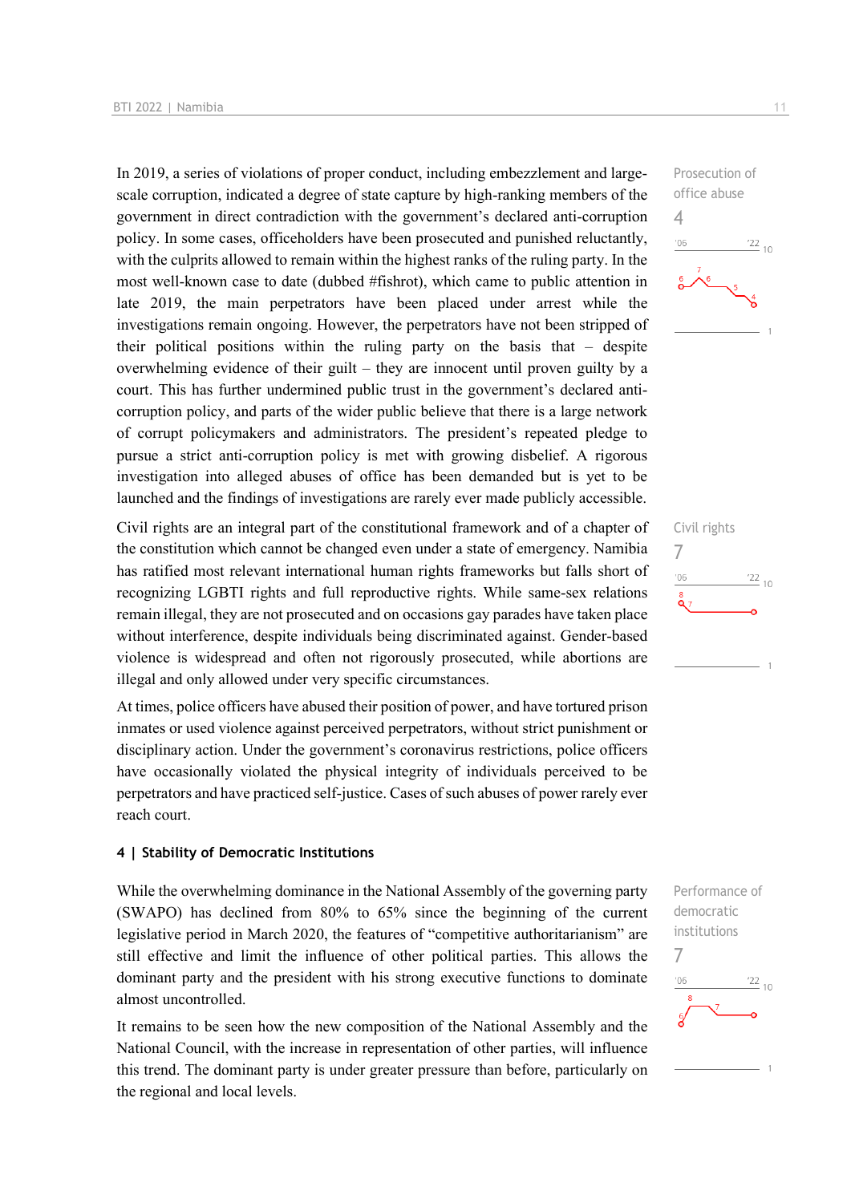In 2019, a series of violations of proper conduct, including embezzlement and largescale corruption, indicated a degree of state capture by high-ranking members of the government in direct contradiction with the government's declared anti-corruption policy. In some cases, officeholders have been prosecuted and punished reluctantly, with the culprits allowed to remain within the highest ranks of the ruling party. In the most well-known case to date (dubbed #fishrot), which came to public attention in late 2019, the main perpetrators have been placed under arrest while the investigations remain ongoing. However, the perpetrators have not been stripped of their political positions within the ruling party on the basis that – despite overwhelming evidence of their guilt – they are innocent until proven guilty by a court. This has further undermined public trust in the government's declared anticorruption policy, and parts of the wider public believe that there is a large network of corrupt policymakers and administrators. The president's repeated pledge to pursue a strict anti-corruption policy is met with growing disbelief. A rigorous investigation into alleged abuses of office has been demanded but is yet to be launched and the findings of investigations are rarely ever made publicly accessible.

Civil rights are an integral part of the constitutional framework and of a chapter of the constitution which cannot be changed even under a state of emergency. Namibia has ratified most relevant international human rights frameworks but falls short of recognizing LGBTI rights and full reproductive rights. While same-sex relations remain illegal, they are not prosecuted and on occasions gay parades have taken place without interference, despite individuals being discriminated against. Gender-based violence is widespread and often not rigorously prosecuted, while abortions are illegal and only allowed under very specific circumstances.

At times, police officers have abused their position of power, and have tortured prison inmates or used violence against perceived perpetrators, without strict punishment or disciplinary action. Under the government's coronavirus restrictions, police officers have occasionally violated the physical integrity of individuals perceived to be perpetrators and have practiced self-justice. Cases of such abuses of power rarely ever reach court.

#### **4 | Stability of Democratic Institutions**

While the overwhelming dominance in the National Assembly of the governing party (SWAPO) has declined from 80% to 65% since the beginning of the current legislative period in March 2020, the features of "competitive authoritarianism" are still effective and limit the influence of other political parties. This allows the dominant party and the president with his strong executive functions to dominate almost uncontrolled.

It remains to be seen how the new composition of the National Assembly and the National Council, with the increase in representation of other parties, will influence this trend. The dominant party is under greater pressure than before, particularly on the regional and local levels.





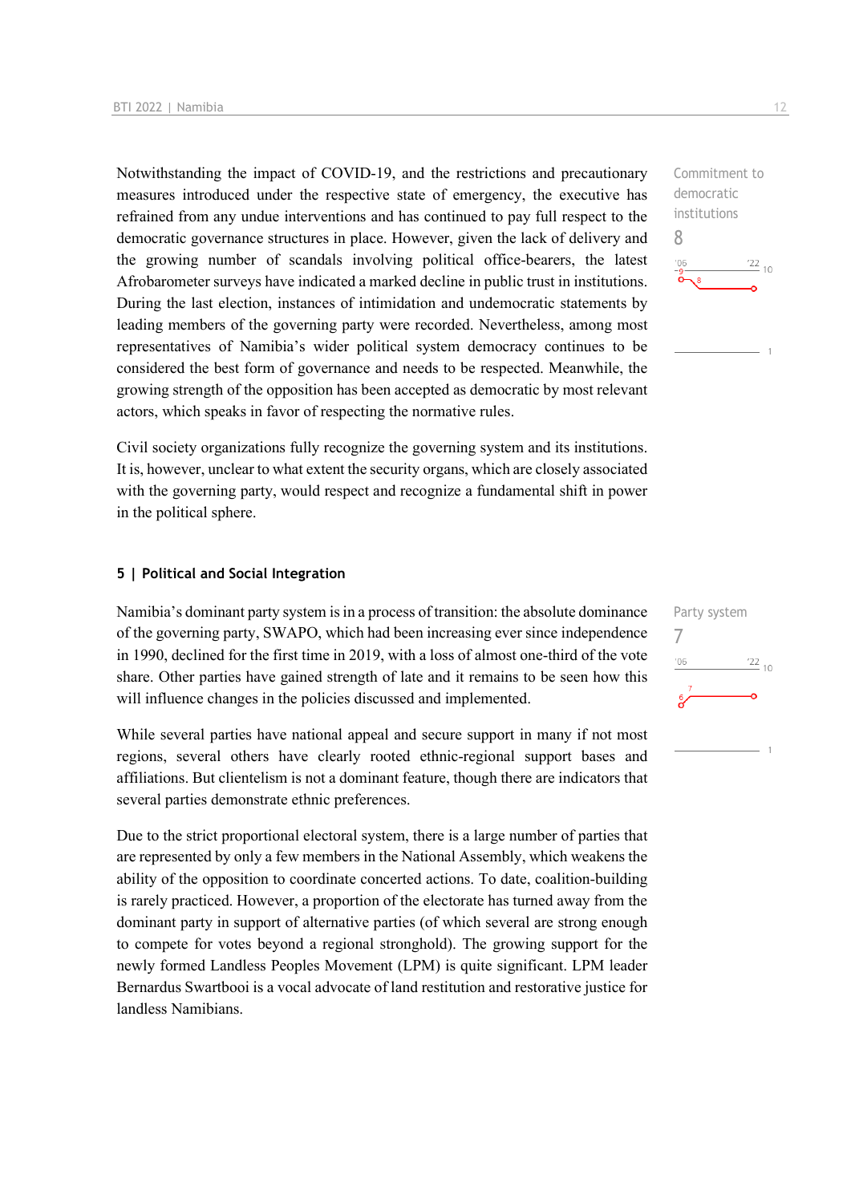Notwithstanding the impact of COVID-19, and the restrictions and precautionary measures introduced under the respective state of emergency, the executive has refrained from any undue interventions and has continued to pay full respect to the democratic governance structures in place. However, given the lack of delivery and the growing number of scandals involving political office-bearers, the latest Afrobarometer surveys have indicated a marked decline in public trust in institutions. During the last election, instances of intimidation and undemocratic statements by leading members of the governing party were recorded. Nevertheless, among most representatives of Namibia's wider political system democracy continues to be considered the best form of governance and needs to be respected. Meanwhile, the growing strength of the opposition has been accepted as democratic by most relevant actors, which speaks in favor of respecting the normative rules.

Civil society organizations fully recognize the governing system and its institutions. It is, however, unclear to what extent the security organs, which are closely associated with the governing party, would respect and recognize a fundamental shift in power in the political sphere.

#### **5 | Political and Social Integration**

Namibia's dominant party system is in a process of transition: the absolute dominance of the governing party, SWAPO, which had been increasing ever since independence in 1990, declined for the first time in 2019, with a loss of almost one-third of the vote share. Other parties have gained strength of late and it remains to be seen how this will influence changes in the policies discussed and implemented.

While several parties have national appeal and secure support in many if not most regions, several others have clearly rooted ethnic-regional support bases and affiliations. But clientelism is not a dominant feature, though there are indicators that several parties demonstrate ethnic preferences.

Due to the strict proportional electoral system, there is a large number of parties that are represented by only a few members in the National Assembly, which weakens the ability of the opposition to coordinate concerted actions. To date, coalition-building is rarely practiced. However, a proportion of the electorate has turned away from the dominant party in support of alternative parties (of which several are strong enough to compete for votes beyond a regional stronghold). The growing support for the newly formed Landless Peoples Movement (LPM) is quite significant. LPM leader Bernardus Swartbooi is a vocal advocate of land restitution and restorative justice for landless Namibians.

Commitment to democratic institutions 8  $106$  $\frac{22}{10}$ 

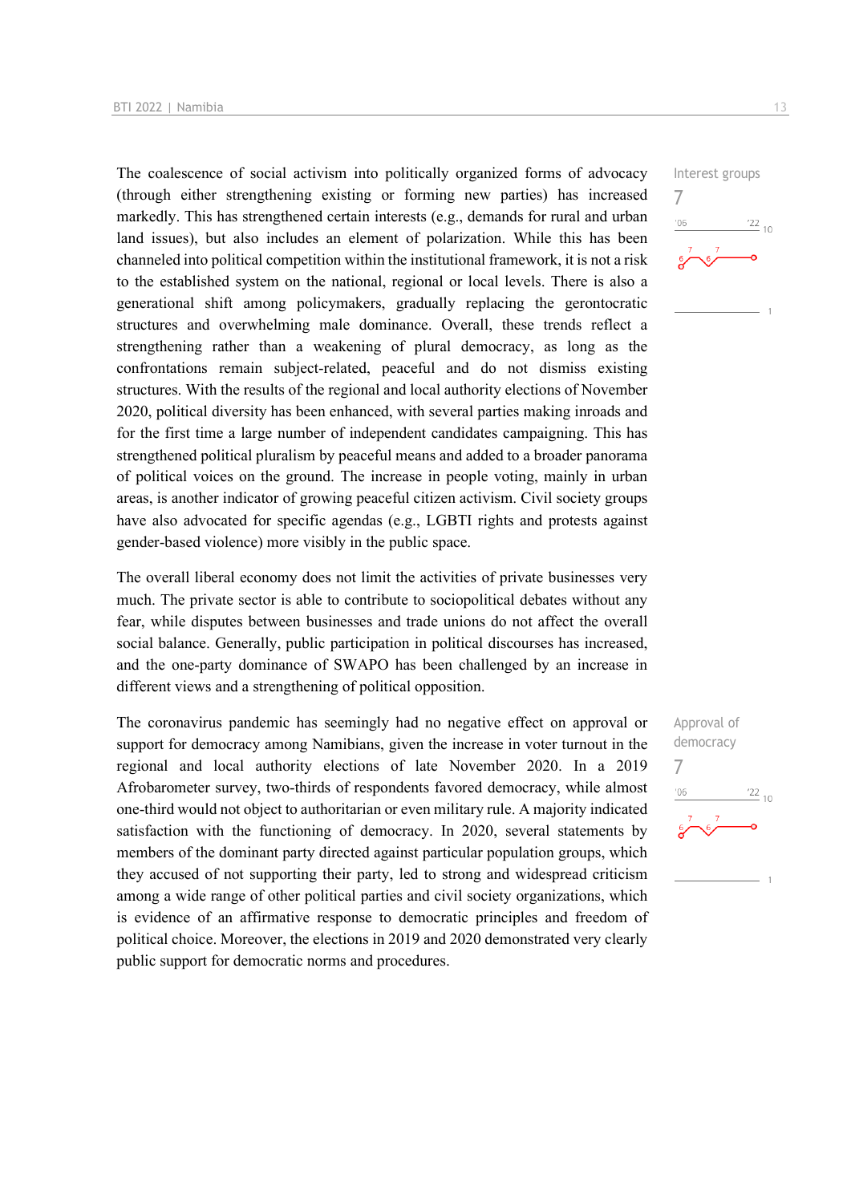The coalescence of social activism into politically organized forms of advocacy (through either strengthening existing or forming new parties) has increased markedly. This has strengthened certain interests (e.g., demands for rural and urban land issues), but also includes an element of polarization. While this has been channeled into political competition within the institutional framework, it is not a risk to the established system on the national, regional or local levels. There is also a generational shift among policymakers, gradually replacing the gerontocratic structures and overwhelming male dominance. Overall, these trends reflect a strengthening rather than a weakening of plural democracy, as long as the confrontations remain subject-related, peaceful and do not dismiss existing structures. With the results of the regional and local authority elections of November 2020, political diversity has been enhanced, with several parties making inroads and for the first time a large number of independent candidates campaigning. This has strengthened political pluralism by peaceful means and added to a broader panorama of political voices on the ground. The increase in people voting, mainly in urban areas, is another indicator of growing peaceful citizen activism. Civil society groups have also advocated for specific agendas (e.g., LGBTI rights and protests against gender-based violence) more visibly in the public space.

The overall liberal economy does not limit the activities of private businesses very much. The private sector is able to contribute to sociopolitical debates without any fear, while disputes between businesses and trade unions do not affect the overall social balance. Generally, public participation in political discourses has increased, and the one-party dominance of SWAPO has been challenged by an increase in different views and a strengthening of political opposition.

The coronavirus pandemic has seemingly had no negative effect on approval or support for democracy among Namibians, given the increase in voter turnout in the regional and local authority elections of late November 2020. In a 2019 Afrobarometer survey, two-thirds of respondents favored democracy, while almost one-third would not object to authoritarian or even military rule. A majority indicated satisfaction with the functioning of democracy. In 2020, several statements by members of the dominant party directed against particular population groups, which they accused of not supporting their party, led to strong and widespread criticism among a wide range of other political parties and civil society organizations, which is evidence of an affirmative response to democratic principles and freedom of political choice. Moreover, the elections in 2019 and 2020 demonstrated very clearly public support for democratic norms and procedures.



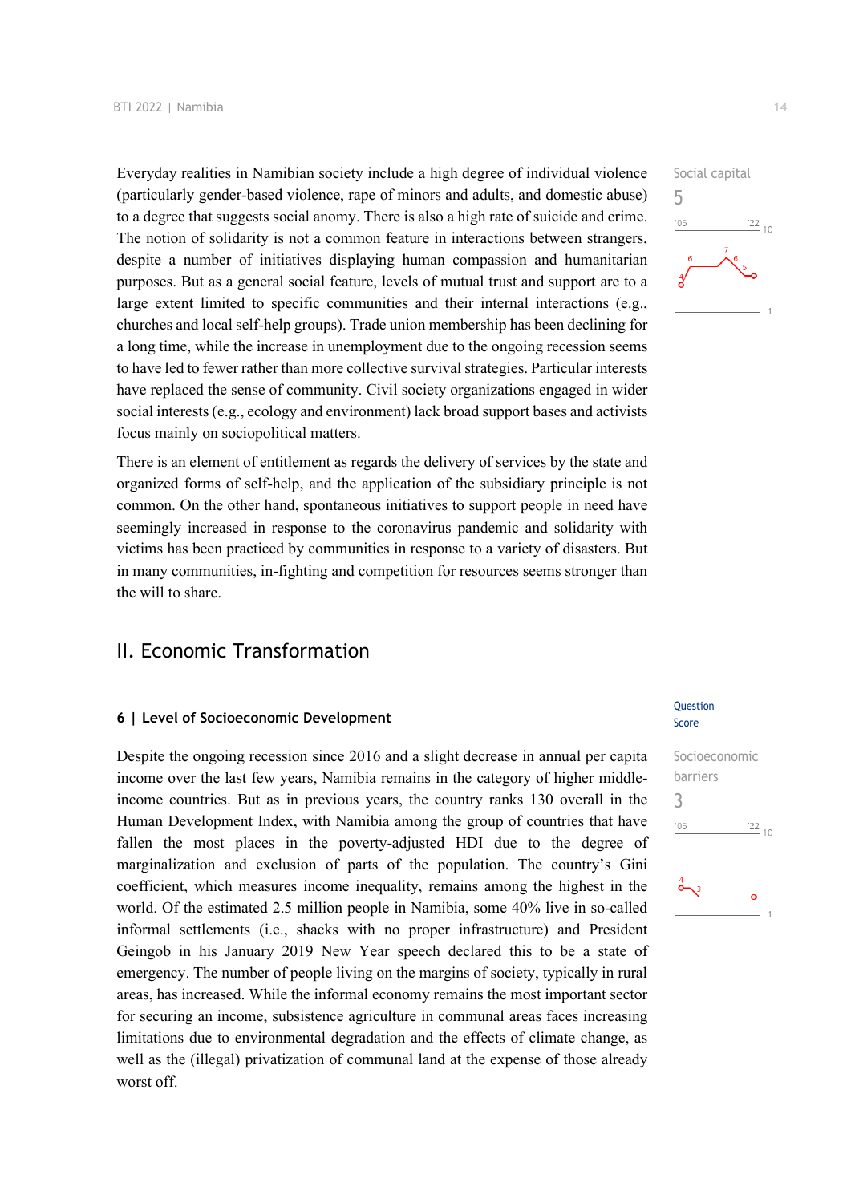Everyday realities in Namibian society include a high degree of individual violence (particularly gender-based violence, rape of minors and adults, and domestic abuse) to a degree that suggests social anomy. There is also a high rate of suicide and crime. The notion of solidarity is not a common feature in interactions between strangers, despite a number of initiatives displaying human compassion and humanitarian purposes. But as a general social feature, levels of mutual trust and support are to a large extent limited to specific communities and their internal interactions (e.g., churches and local self-help groups). Trade union membership has been declining for a long time, while the increase in unemployment due to the ongoing recession seems to have led to fewer rather than more collective survival strategies. Particular interests have replaced the sense of community. Civil society organizations engaged in wider social interests (e.g., ecology and environment) lack broad support bases and activists focus mainly on sociopolitical matters.

There is an element of entitlement as regards the delivery of services by the state and organized forms of self-help, and the application of the subsidiary principle is not common. On the other hand, spontaneous initiatives to support people in need have seemingly increased in response to the coronavirus pandemic and solidarity with victims has been practiced by communities in response to a variety of disasters. But in many communities, in-fighting and competition for resources seems stronger than the will to share.

## II. Economic Transformation

#### **6 | Level of Socioeconomic Development**

Despite the ongoing recession since 2016 and a slight decrease in annual per capita income over the last few years, Namibia remains in the category of higher middleincome countries. But as in previous years, the country ranks 130 overall in the Human Development Index, with Namibia among the group of countries that have fallen the most places in the poverty-adjusted HDI due to the degree of marginalization and exclusion of parts of the population. The country's Gini coefficient, which measures income inequality, remains among the highest in the world. Of the estimated 2.5 million people in Namibia, some 40% live in so-called informal settlements (i.e., shacks with no proper infrastructure) and President Geingob in his January 2019 New Year speech declared this to be a state of emergency. The number of people living on the margins of society, typically in rural areas, has increased. While the informal economy remains the most important sector for securing an income, subsistence agriculture in communal areas faces increasing limitations due to environmental degradation and the effects of climate change, as well as the (illegal) privatization of communal land at the expense of those already worst off.



#### Question Score

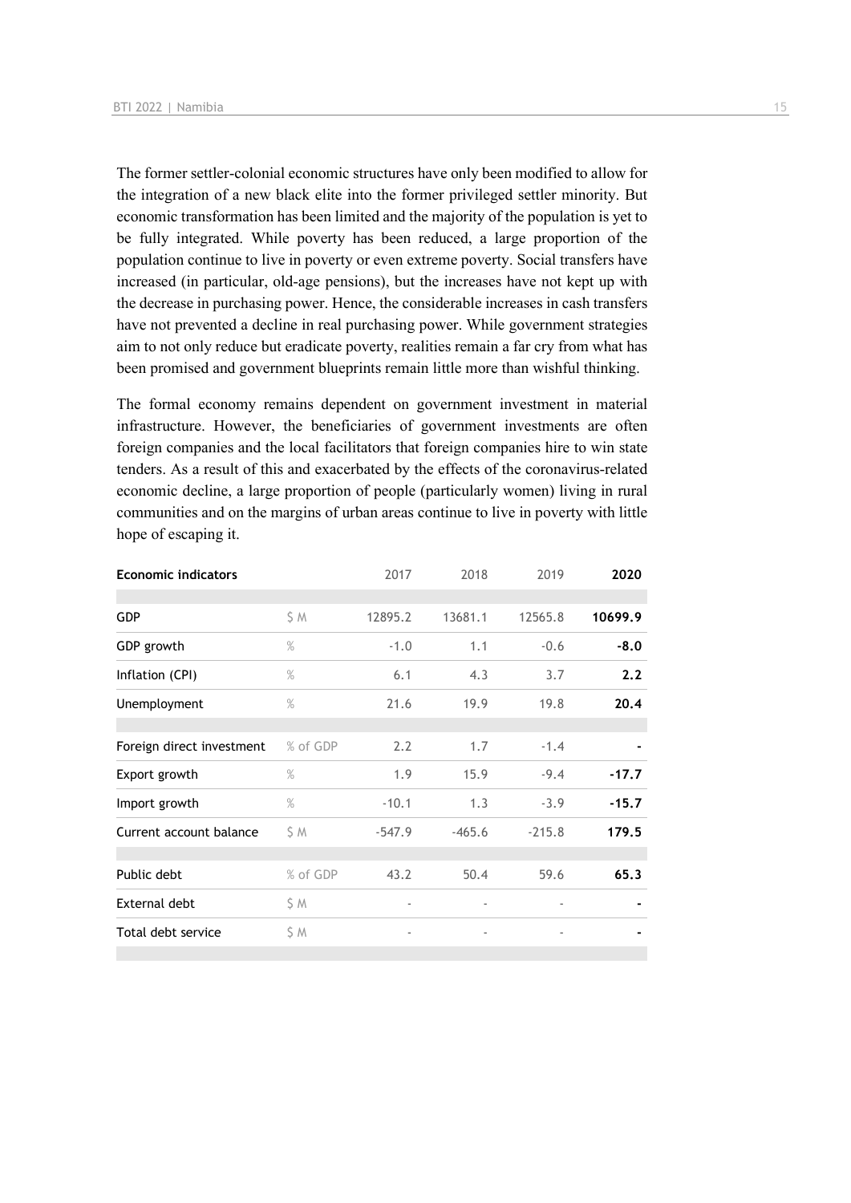The former settler-colonial economic structures have only been modified to allow for the integration of a new black elite into the former privileged settler minority. But economic transformation has been limited and the majority of the population is yet to be fully integrated. While poverty has been reduced, a large proportion of the population continue to live in poverty or even extreme poverty. Social transfers have increased (in particular, old-age pensions), but the increases have not kept up with the decrease in purchasing power. Hence, the considerable increases in cash transfers have not prevented a decline in real purchasing power. While government strategies aim to not only reduce but eradicate poverty, realities remain a far cry from what has been promised and government blueprints remain little more than wishful thinking.

The formal economy remains dependent on government investment in material infrastructure. However, the beneficiaries of government investments are often foreign companies and the local facilitators that foreign companies hire to win state tenders. As a result of this and exacerbated by the effects of the coronavirus-related economic decline, a large proportion of people (particularly women) living in rural communities and on the margins of urban areas continue to live in poverty with little hope of escaping it.

| <b>Economic indicators</b> |          | 2017                     | 2018                     | 2019                     | 2020    |
|----------------------------|----------|--------------------------|--------------------------|--------------------------|---------|
|                            |          |                          |                          |                          |         |
| <b>GDP</b>                 | \$ M     | 12895.2                  | 13681.1                  | 12565.8                  | 10699.9 |
| GDP growth                 | $\%$     | $-1.0$                   | 1.1                      | $-0.6$                   | $-8.0$  |
| Inflation (CPI)            | $\%$     | 6.1                      | 4.3                      | 3.7                      | 2.2     |
| Unemployment               | $\%$     | 21.6                     | 19.9                     | 19.8                     | 20.4    |
|                            |          |                          |                          |                          |         |
| Foreign direct investment  | % of GDP | 2.2                      | 1.7                      | $-1.4$                   |         |
| Export growth              | $\%$     | 1.9                      | 15.9                     | $-9.4$                   | $-17.7$ |
| Import growth              | $\%$     | $-10.1$                  | 1.3                      | $-3.9$                   | $-15.7$ |
| Current account balance    | \$ M     | $-547.9$                 | $-465.6$                 | $-215.8$                 | 179.5   |
|                            |          |                          |                          |                          |         |
| Public debt                | % of GDP | 43.2                     | 50.4                     | 59.6                     | 65.3    |
| External debt              | \$ M     | $\overline{\phantom{a}}$ |                          |                          |         |
| Total debt service         | \$ M     | $\overline{\phantom{a}}$ | $\overline{\phantom{a}}$ | $\overline{\phantom{a}}$ |         |
|                            |          |                          |                          |                          |         |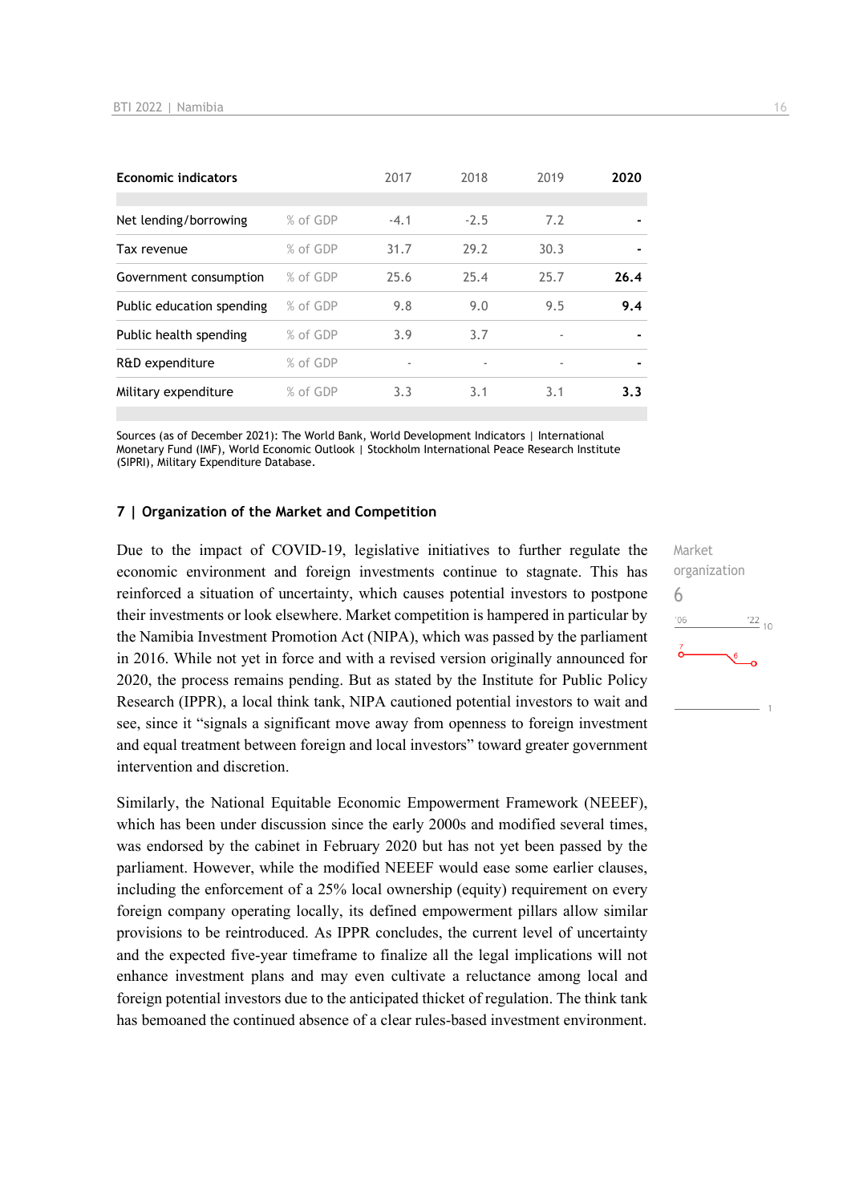| <b>Economic indicators</b> |          | 2017   | 2018   | 2019                     | 2020 |
|----------------------------|----------|--------|--------|--------------------------|------|
|                            |          |        |        |                          |      |
| Net lending/borrowing      | % of GDP | $-4.1$ | $-2.5$ | 7.2                      |      |
| Tax revenue                | % of GDP | 31.7   | 29.2   | 30.3                     |      |
| Government consumption     | % of GDP | 25.6   | 25.4   | 25.7                     | 26.4 |
| Public education spending  | % of GDP | 9.8    | 9.0    | 9.5                      | 9.4  |
| Public health spending     | % of GDP | 3.9    | 3.7    | $\overline{\phantom{a}}$ |      |
| R&D expenditure            | % of GDP |        |        |                          |      |
| Military expenditure       | % of GDP | 3.3    | 3.1    | 3.1                      | 3.3  |
|                            |          |        |        |                          |      |

Sources (as of December 2021): The World Bank, World Development Indicators | International Monetary Fund (IMF), World Economic Outlook | Stockholm International Peace Research Institute (SIPRI), Military Expenditure Database.

#### **7 | Organization of the Market and Competition**

Due to the impact of COVID-19, legislative initiatives to further regulate the economic environment and foreign investments continue to stagnate. This has reinforced a situation of uncertainty, which causes potential investors to postpone their investments or look elsewhere. Market competition is hampered in particular by the Namibia Investment Promotion Act (NIPA), which was passed by the parliament in 2016. While not yet in force and with a revised version originally announced for 2020, the process remains pending. But as stated by the Institute for Public Policy Research (IPPR), a local think tank, NIPA cautioned potential investors to wait and see, since it "signals a significant move away from openness to foreign investment and equal treatment between foreign and local investors" toward greater government intervention and discretion.

Similarly, the National Equitable Economic Empowerment Framework (NEEEF), which has been under discussion since the early 2000s and modified several times, was endorsed by the cabinet in February 2020 but has not yet been passed by the parliament. However, while the modified NEEEF would ease some earlier clauses, including the enforcement of a 25% local ownership (equity) requirement on every foreign company operating locally, its defined empowerment pillars allow similar provisions to be reintroduced. As IPPR concludes, the current level of uncertainty and the expected five-year timeframe to finalize all the legal implications will not enhance investment plans and may even cultivate a reluctance among local and foreign potential investors due to the anticipated thicket of regulation. The think tank has bemoaned the continued absence of a clear rules-based investment environment.

Market organization 6 $-06$  $\frac{22}{10}$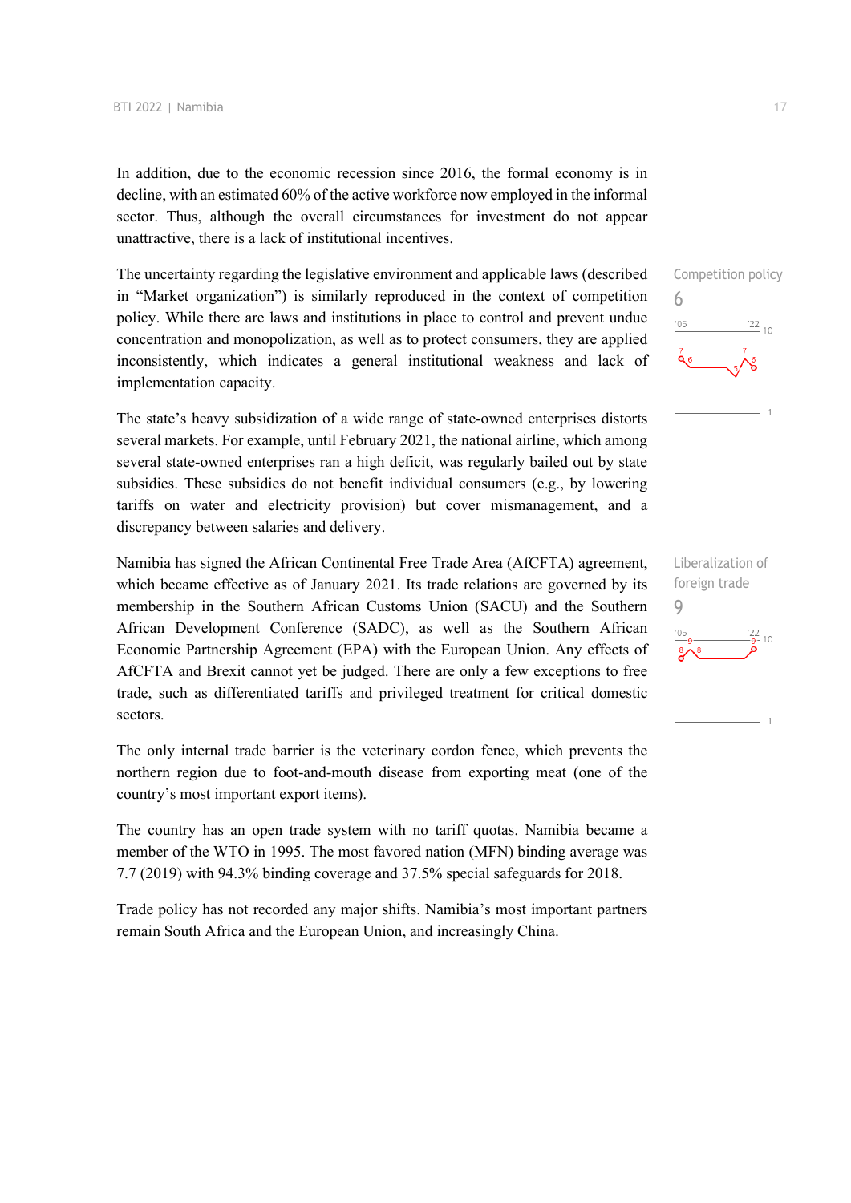In addition, due to the economic recession since 2016, the formal economy is in decline, with an estimated 60% of the active workforce now employed in the informal sector. Thus, although the overall circumstances for investment do not appear unattractive, there is a lack of institutional incentives.

The uncertainty regarding the legislative environment and applicable laws (described in "Market organization") is similarly reproduced in the context of competition policy. While there are laws and institutions in place to control and prevent undue concentration and monopolization, as well as to protect consumers, they are applied inconsistently, which indicates a general institutional weakness and lack of implementation capacity.

The state's heavy subsidization of a wide range of state-owned enterprises distorts several markets. For example, until February 2021, the national airline, which among several state-owned enterprises ran a high deficit, was regularly bailed out by state subsidies. These subsidies do not benefit individual consumers (e.g., by lowering tariffs on water and electricity provision) but cover mismanagement, and a discrepancy between salaries and delivery.

Namibia has signed the African Continental Free Trade Area (AfCFTA) agreement, which became effective as of January 2021. Its trade relations are governed by its membership in the Southern African Customs Union (SACU) and the Southern African Development Conference (SADC), as well as the Southern African Economic Partnership Agreement (EPA) with the European Union. Any effects of AfCFTA and Brexit cannot yet be judged. There are only a few exceptions to free trade, such as differentiated tariffs and privileged treatment for critical domestic sectors.

The only internal trade barrier is the veterinary cordon fence, which prevents the northern region due to foot-and-mouth disease from exporting meat (one of the country's most important export items).

The country has an open trade system with no tariff quotas. Namibia became a member of the WTO in 1995. The most favored nation (MFN) binding average was 7.7 (2019) with 94.3% binding coverage and 37.5% special safeguards for 2018.

Trade policy has not recorded any major shifts. Namibia's most important partners remain South Africa and the European Union, and increasingly China.



Liberalization of foreign trade 9 $\frac{22}{9}$ - 10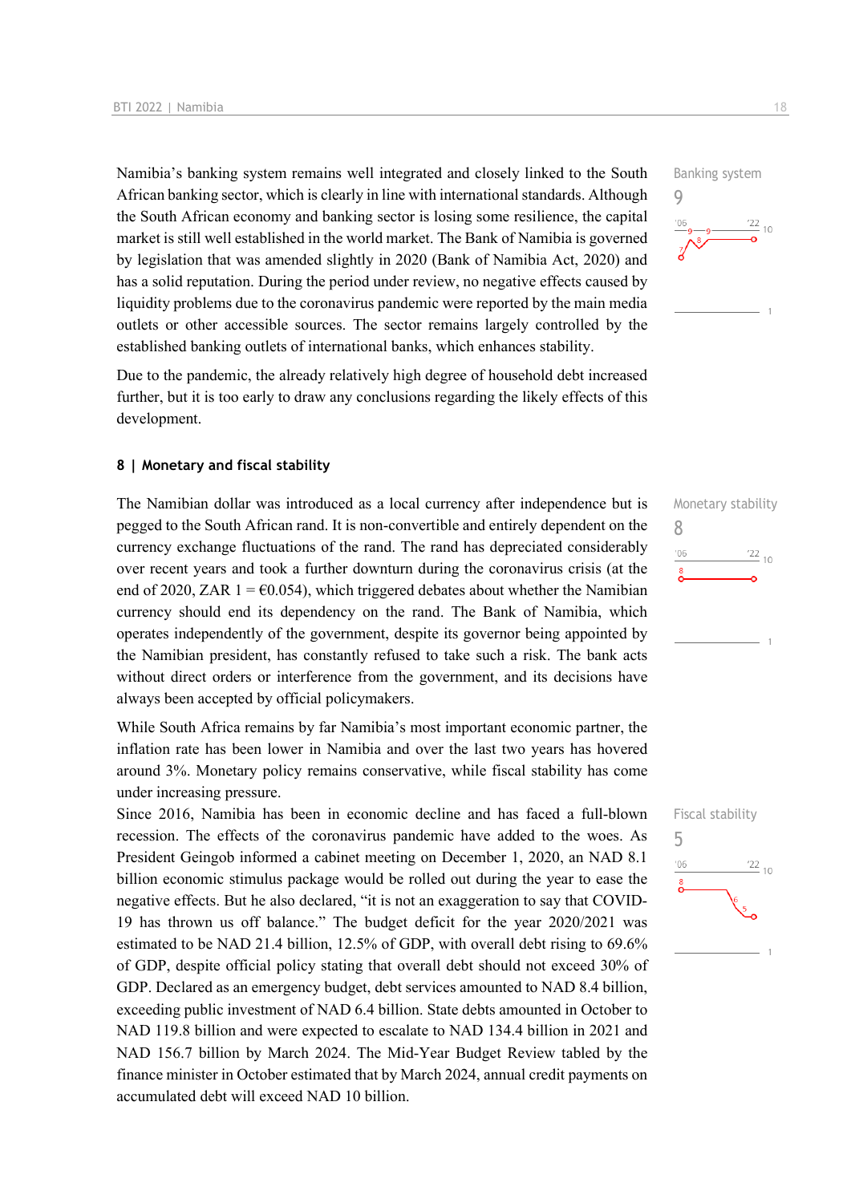Namibia's banking system remains well integrated and closely linked to the South African banking sector, which is clearly in line with international standards. Although the South African economy and banking sector is losing some resilience, the capital market is still well established in the world market. The Bank of Namibia is governed by legislation that was amended slightly in 2020 (Bank of Namibia Act, 2020) and has a solid reputation. During the period under review, no negative effects caused by liquidity problems due to the coronavirus pandemic were reported by the main media outlets or other accessible sources. The sector remains largely controlled by the established banking outlets of international banks, which enhances stability.

Due to the pandemic, the already relatively high degree of household debt increased further, but it is too early to draw any conclusions regarding the likely effects of this development.

#### **8 | Monetary and fiscal stability**

The Namibian dollar was introduced as a local currency after independence but is pegged to the South African rand. It is non-convertible and entirely dependent on the currency exchange fluctuations of the rand. The rand has depreciated considerably over recent years and took a further downturn during the coronavirus crisis (at the end of 2020, ZAR 1 =  $\epsilon$ 0.054), which triggered debates about whether the Namibian currency should end its dependency on the rand. The Bank of Namibia, which operates independently of the government, despite its governor being appointed by the Namibian president, has constantly refused to take such a risk. The bank acts without direct orders or interference from the government, and its decisions have always been accepted by official policymakers.

While South Africa remains by far Namibia's most important economic partner, the inflation rate has been lower in Namibia and over the last two years has hovered around 3%. Monetary policy remains conservative, while fiscal stability has come under increasing pressure.

Since 2016, Namibia has been in economic decline and has faced a full-blown recession. The effects of the coronavirus pandemic have added to the woes. As President Geingob informed a cabinet meeting on December 1, 2020, an NAD 8.1 billion economic stimulus package would be rolled out during the year to ease the negative effects. But he also declared, "it is not an exaggeration to say that COVID-19 has thrown us off balance." The budget deficit for the year 2020/2021 was estimated to be NAD 21.4 billion, 12.5% of GDP, with overall debt rising to 69.6% of GDP, despite official policy stating that overall debt should not exceed 30% of GDP. Declared as an emergency budget, debt services amounted to NAD 8.4 billion, exceeding public investment of NAD 6.4 billion. State debts amounted in October to NAD 119.8 billion and were expected to escalate to NAD 134.4 billion in 2021 and NAD 156.7 billion by March 2024. The Mid-Year Budget Review tabled by the finance minister in October estimated that by March 2024, annual credit payments on accumulated debt will exceed NAD 10 billion.





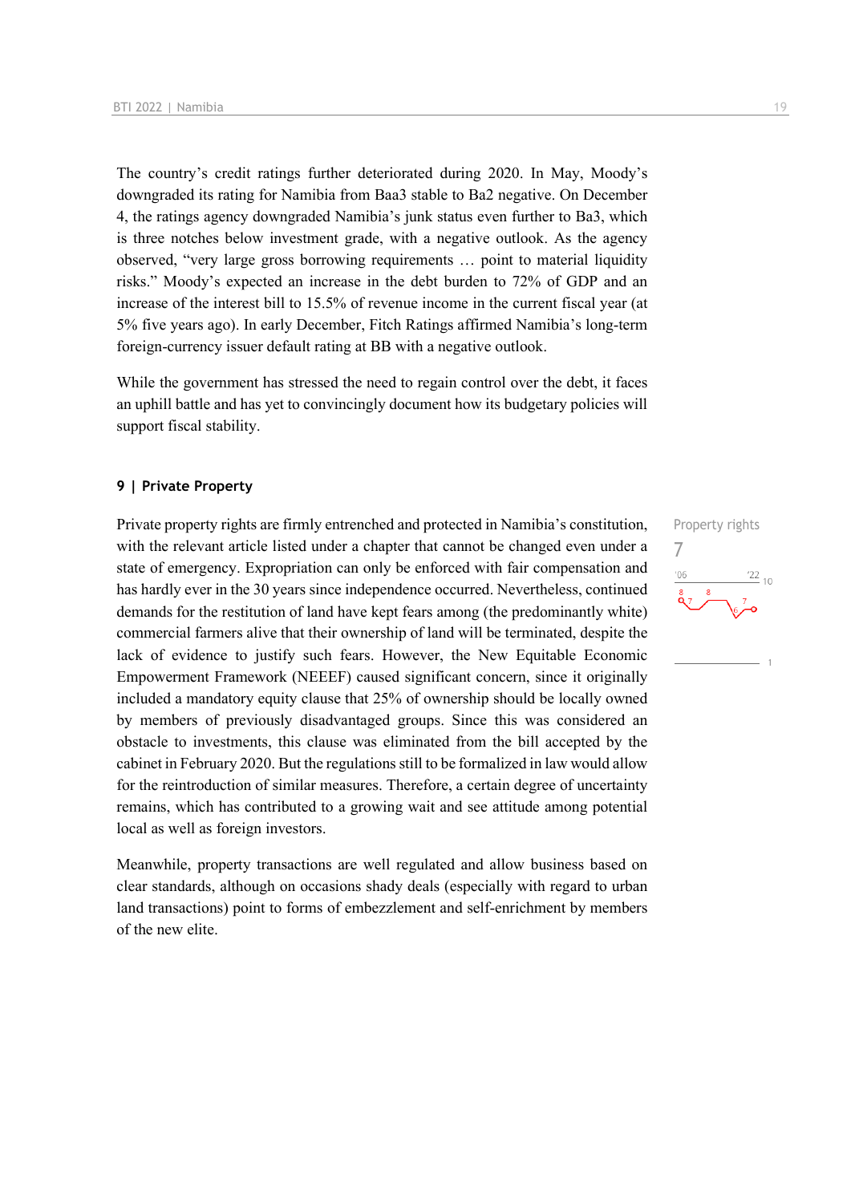The country's credit ratings further deteriorated during 2020. In May, Moody's downgraded its rating for Namibia from Baa3 stable to Ba2 negative. On December 4, the ratings agency downgraded Namibia's junk status even further to Ba3, which is three notches below investment grade, with a negative outlook. As the agency observed, "very large gross borrowing requirements … point to material liquidity risks." Moody's expected an increase in the debt burden to 72% of GDP and an increase of the interest bill to 15.5% of revenue income in the current fiscal year (at 5% five years ago). In early December, Fitch Ratings affirmed Namibia's long-term foreign-currency issuer default rating at BB with a negative outlook.

While the government has stressed the need to regain control over the debt, it faces an uphill battle and has yet to convincingly document how its budgetary policies will support fiscal stability.

#### **9 | Private Property**

Private property rights are firmly entrenched and protected in Namibia's constitution, with the relevant article listed under a chapter that cannot be changed even under a state of emergency. Expropriation can only be enforced with fair compensation and has hardly ever in the 30 years since independence occurred. Nevertheless, continued demands for the restitution of land have kept fears among (the predominantly white) commercial farmers alive that their ownership of land will be terminated, despite the lack of evidence to justify such fears. However, the New Equitable Economic Empowerment Framework (NEEEF) caused significant concern, since it originally included a mandatory equity clause that 25% of ownership should be locally owned by members of previously disadvantaged groups. Since this was considered an obstacle to investments, this clause was eliminated from the bill accepted by the cabinet in February 2020. But the regulations still to be formalized in law would allow for the reintroduction of similar measures. Therefore, a certain degree of uncertainty remains, which has contributed to a growing wait and see attitude among potential local as well as foreign investors.

Meanwhile, property transactions are well regulated and allow business based on clear standards, although on occasions shady deals (especially with regard to urban land transactions) point to forms of embezzlement and self-enrichment by members of the new elite.

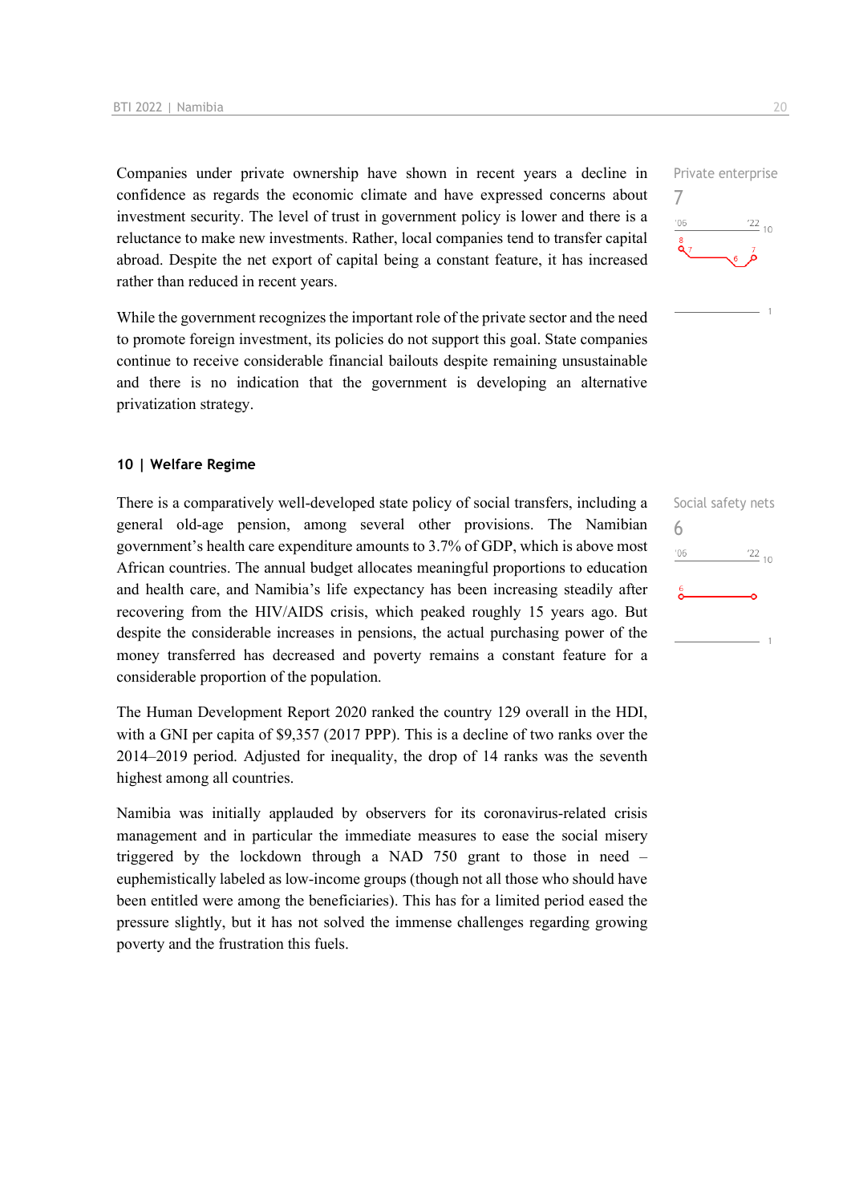Companies under private ownership have shown in recent years a decline in confidence as regards the economic climate and have expressed concerns about investment security. The level of trust in government policy is lower and there is a reluctance to make new investments. Rather, local companies tend to transfer capital abroad. Despite the net export of capital being a constant feature, it has increased rather than reduced in recent years.

While the government recognizes the important role of the private sector and the need to promote foreign investment, its policies do not support this goal. State companies continue to receive considerable financial bailouts despite remaining unsustainable and there is no indication that the government is developing an alternative privatization strategy.

#### **10 | Welfare Regime**

There is a comparatively well-developed state policy of social transfers, including a general old-age pension, among several other provisions. The Namibian government's health care expenditure amounts to 3.7% of GDP, which is above most African countries. The annual budget allocates meaningful proportions to education and health care, and Namibia's life expectancy has been increasing steadily after recovering from the HIV/AIDS crisis, which peaked roughly 15 years ago. But despite the considerable increases in pensions, the actual purchasing power of the money transferred has decreased and poverty remains a constant feature for a considerable proportion of the population.

The Human Development Report 2020 ranked the country 129 overall in the HDI, with a GNI per capita of \$9,357 (2017 PPP). This is a decline of two ranks over the 2014–2019 period. Adjusted for inequality, the drop of 14 ranks was the seventh highest among all countries.

Namibia was initially applauded by observers for its coronavirus-related crisis management and in particular the immediate measures to ease the social misery triggered by the lockdown through a NAD 750 grant to those in need – euphemistically labeled as low-income groups (though not all those who should have been entitled were among the beneficiaries). This has for a limited period eased the pressure slightly, but it has not solved the immense challenges regarding growing poverty and the frustration this fuels.





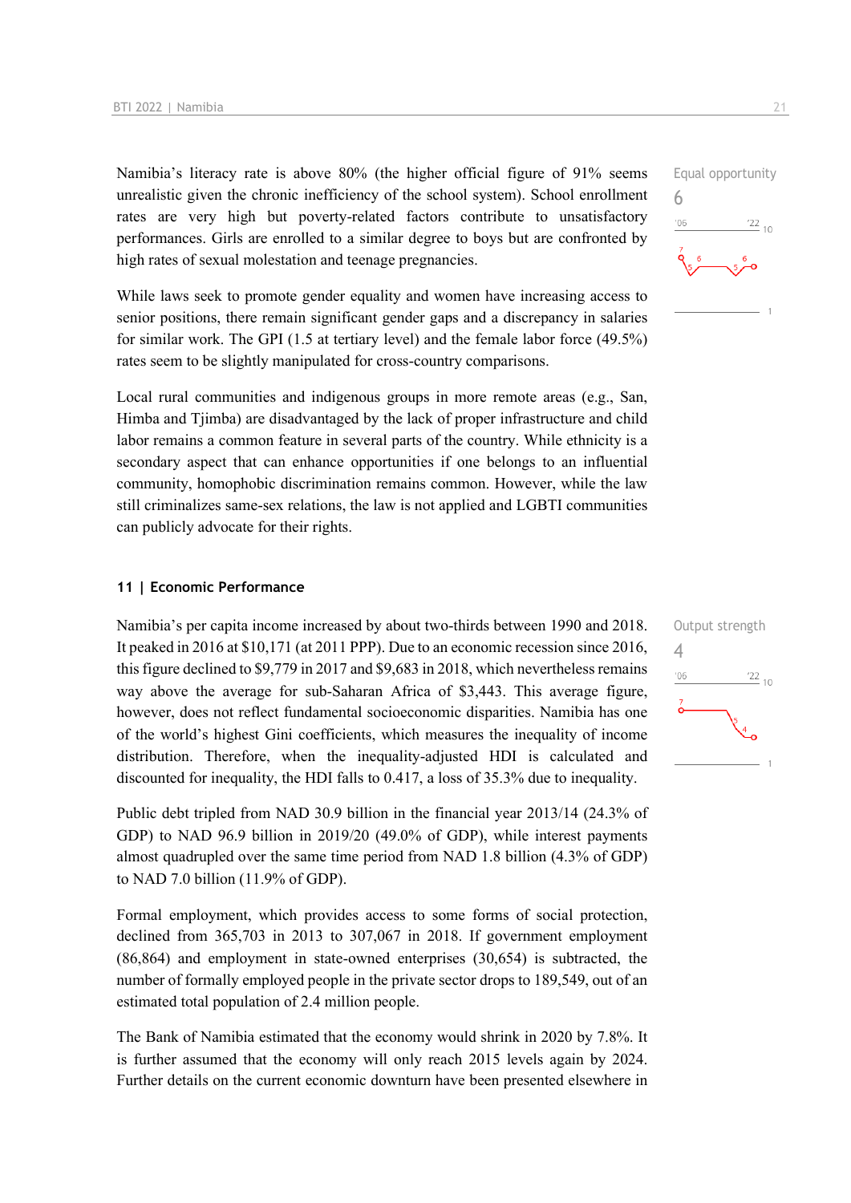Namibia's literacy rate is above 80% (the higher official figure of 91% seems unrealistic given the chronic inefficiency of the school system). School enrollment rates are very high but poverty-related factors contribute to unsatisfactory performances. Girls are enrolled to a similar degree to boys but are confronted by high rates of sexual molestation and teenage pregnancies.

While laws seek to promote gender equality and women have increasing access to senior positions, there remain significant gender gaps and a discrepancy in salaries for similar work. The GPI (1.5 at tertiary level) and the female labor force (49.5%) rates seem to be slightly manipulated for cross-country comparisons.

Local rural communities and indigenous groups in more remote areas (e.g., San, Himba and Tjimba) are disadvantaged by the lack of proper infrastructure and child labor remains a common feature in several parts of the country. While ethnicity is a secondary aspect that can enhance opportunities if one belongs to an influential community, homophobic discrimination remains common. However, while the law still criminalizes same-sex relations, the law is not applied and LGBTI communities can publicly advocate for their rights.

#### **11 | Economic Performance**

Namibia's per capita income increased by about two-thirds between 1990 and 2018. It peaked in 2016 at \$10,171 (at 2011 PPP). Due to an economic recession since 2016, this figure declined to \$9,779 in 2017 and \$9,683 in 2018, which nevertheless remains way above the average for sub-Saharan Africa of \$3,443. This average figure, however, does not reflect fundamental socioeconomic disparities. Namibia has one of the world's highest Gini coefficients, which measures the inequality of income distribution. Therefore, when the inequality-adjusted HDI is calculated and discounted for inequality, the HDI falls to 0.417, a loss of 35.3% due to inequality.

Public debt tripled from NAD 30.9 billion in the financial year 2013/14 (24.3% of GDP) to NAD 96.9 billion in 2019/20 (49.0% of GDP), while interest payments almost quadrupled over the same time period from NAD 1.8 billion (4.3% of GDP) to NAD 7.0 billion (11.9% of GDP).

Formal employment, which provides access to some forms of social protection, declined from 365,703 in 2013 to 307,067 in 2018. If government employment (86,864) and employment in state-owned enterprises (30,654) is subtracted, the number of formally employed people in the private sector drops to 189,549, out of an estimated total population of 2.4 million people.

The Bank of Namibia estimated that the economy would shrink in 2020 by 7.8%. It is further assumed that the economy will only reach 2015 levels again by 2024. Further details on the current economic downturn have been presented elsewhere in



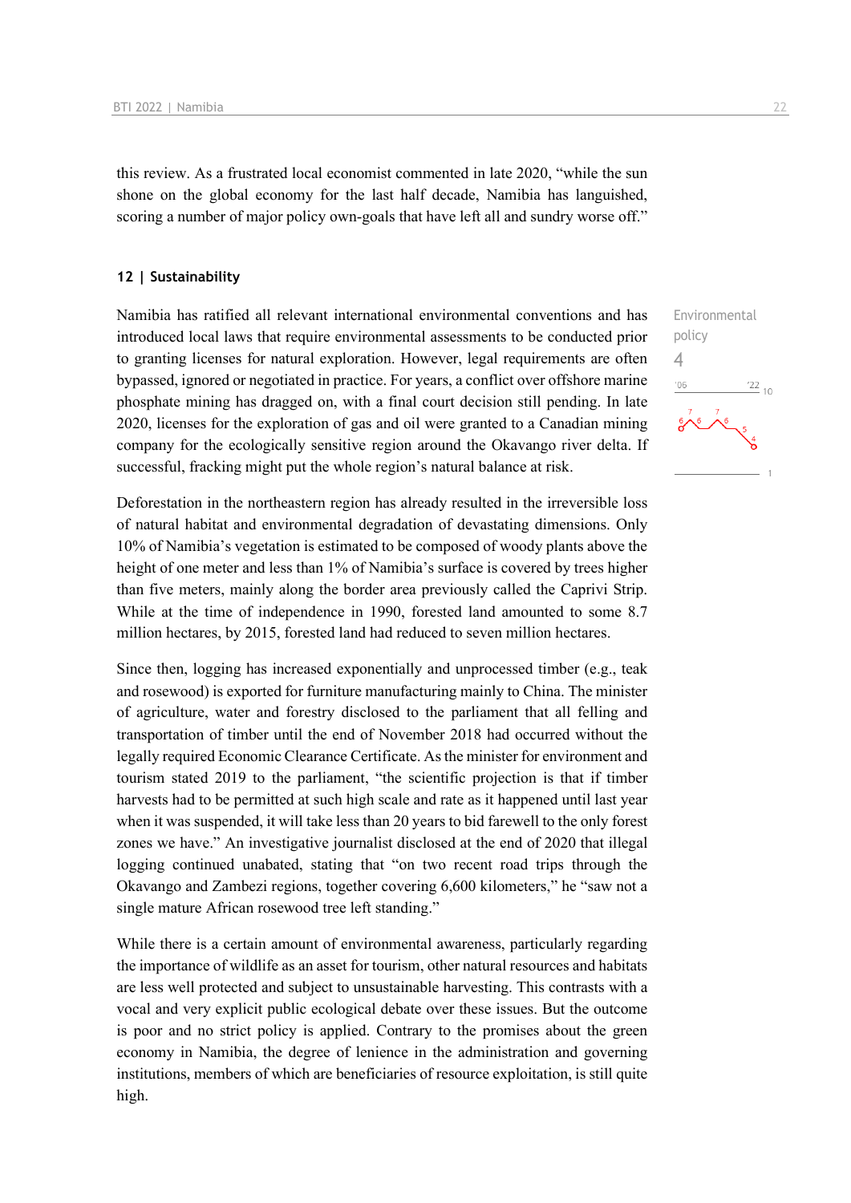this review. As a frustrated local economist commented in late 2020, "while the sun shone on the global economy for the last half decade, Namibia has languished, scoring a number of major policy own-goals that have left all and sundry worse off."

#### **12 | Sustainability**

Namibia has ratified all relevant international environmental conventions and has introduced local laws that require environmental assessments to be conducted prior to granting licenses for natural exploration. However, legal requirements are often bypassed, ignored or negotiated in practice. For years, a conflict over offshore marine phosphate mining has dragged on, with a final court decision still pending. In late 2020, licenses for the exploration of gas and oil were granted to a Canadian mining company for the ecologically sensitive region around the Okavango river delta. If successful, fracking might put the whole region's natural balance at risk.

Deforestation in the northeastern region has already resulted in the irreversible loss of natural habitat and environmental degradation of devastating dimensions. Only 10% of Namibia's vegetation is estimated to be composed of woody plants above the height of one meter and less than 1% of Namibia's surface is covered by trees higher than five meters, mainly along the border area previously called the Caprivi Strip. While at the time of independence in 1990, forested land amounted to some 8.7 million hectares, by 2015, forested land had reduced to seven million hectares.

Since then, logging has increased exponentially and unprocessed timber (e.g., teak and rosewood) is exported for furniture manufacturing mainly to China. The minister of agriculture, water and forestry disclosed to the parliament that all felling and transportation of timber until the end of November 2018 had occurred without the legally required Economic Clearance Certificate. As the minister for environment and tourism stated 2019 to the parliament, "the scientific projection is that if timber harvests had to be permitted at such high scale and rate as it happened until last year when it was suspended, it will take less than 20 years to bid farewell to the only forest zones we have." An investigative journalist disclosed at the end of 2020 that illegal logging continued unabated, stating that "on two recent road trips through the Okavango and Zambezi regions, together covering 6,600 kilometers," he "saw not a single mature African rosewood tree left standing."

While there is a certain amount of environmental awareness, particularly regarding the importance of wildlife as an asset for tourism, other natural resources and habitats are less well protected and subject to unsustainable harvesting. This contrasts with a vocal and very explicit public ecological debate over these issues. But the outcome is poor and no strict policy is applied. Contrary to the promises about the green economy in Namibia, the degree of lenience in the administration and governing institutions, members of which are beneficiaries of resource exploitation, is still quite high.

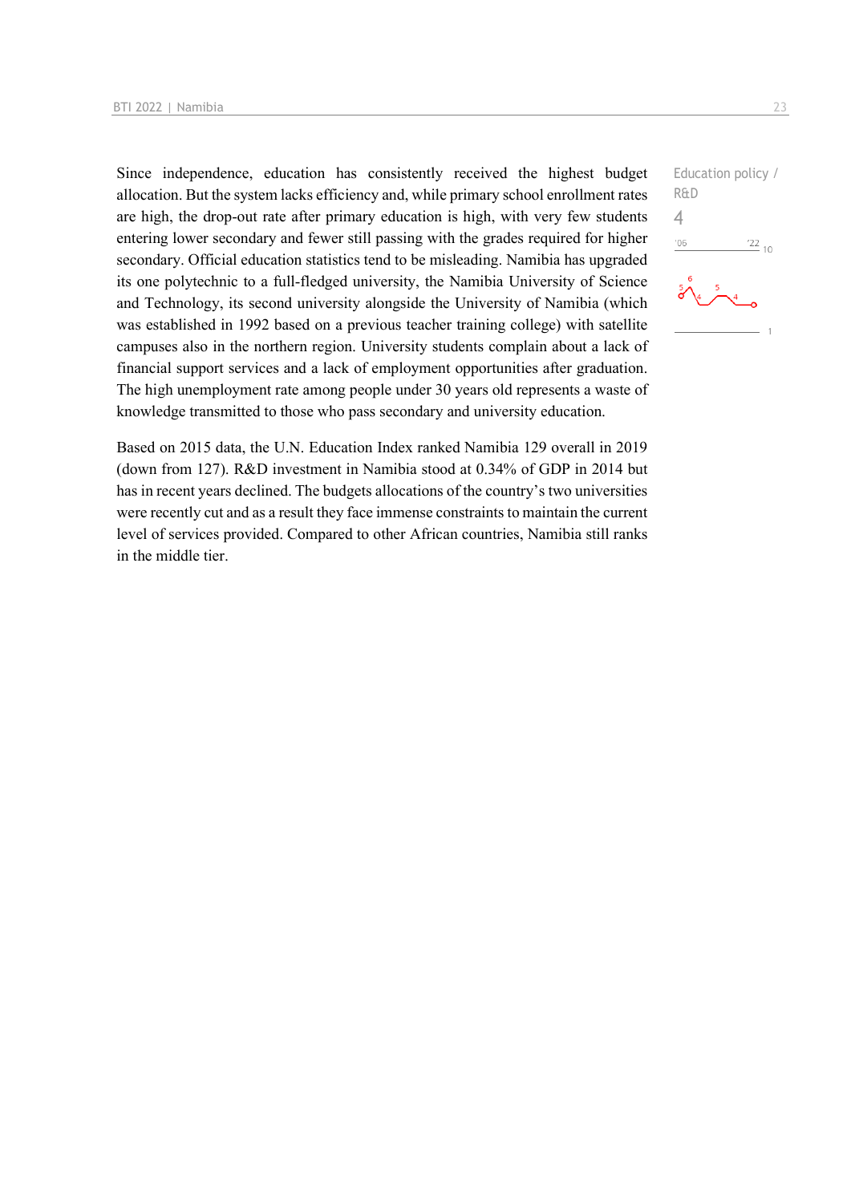Since independence, education has consistently received the highest budget allocation. But the system lacks efficiency and, while primary school enrollment rates are high, the drop-out rate after primary education is high, with very few students entering lower secondary and fewer still passing with the grades required for higher secondary. Official education statistics tend to be misleading. Namibia has upgraded its one polytechnic to a full-fledged university, the Namibia University of Science and Technology, its second university alongside the University of Namibia (which was established in 1992 based on a previous teacher training college) with satellite campuses also in the northern region. University students complain about a lack of financial support services and a lack of employment opportunities after graduation. The high unemployment rate among people under 30 years old represents a waste of knowledge transmitted to those who pass secondary and university education.

Based on 2015 data, the U.N. Education Index ranked Namibia 129 overall in 2019 (down from 127). R&D investment in Namibia stood at 0.34% of GDP in 2014 but has in recent years declined. The budgets allocations of the country's two universities were recently cut and as a result they face immense constraints to maintain the current level of services provided. Compared to other African countries, Namibia still ranks in the middle tier.

```
Education policy / 
R&D
4-06\frac{22}{10}\overline{1}
```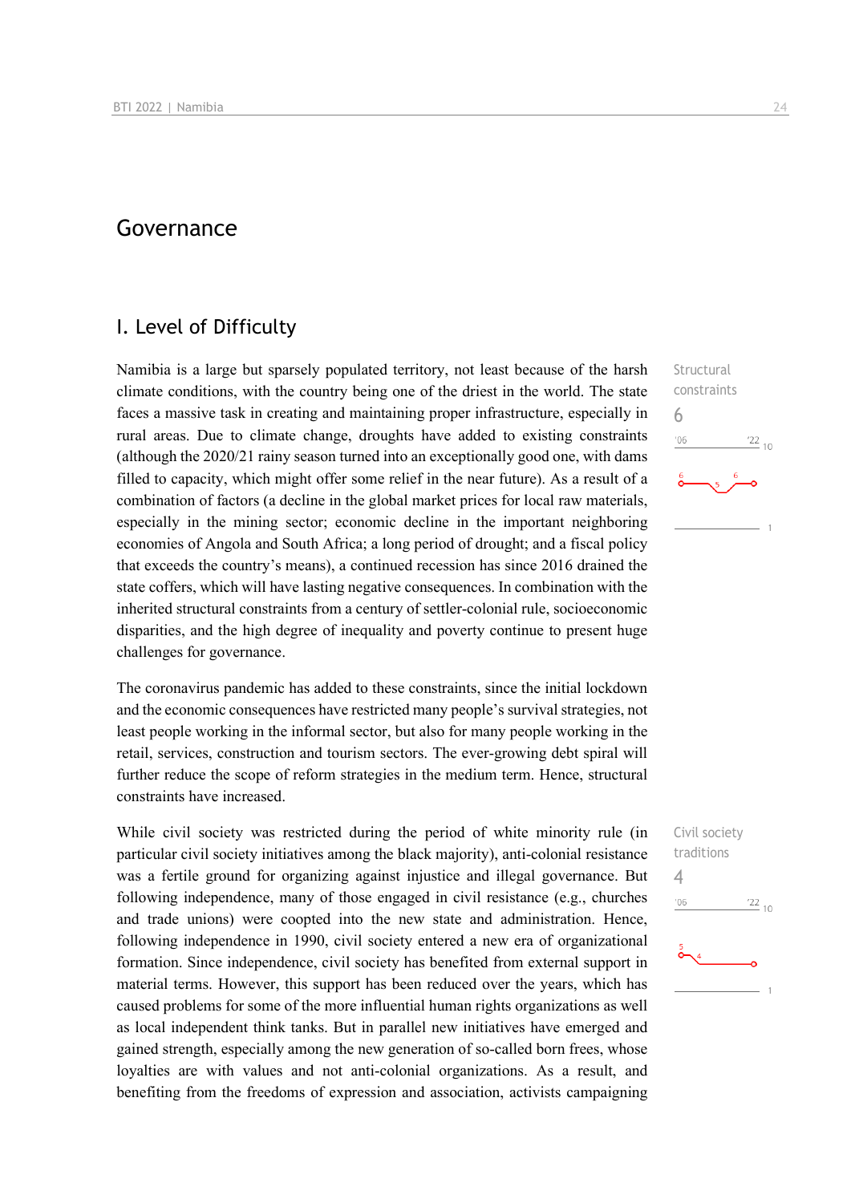## Governance

## I. Level of Difficulty

Namibia is a large but sparsely populated territory, not least because of the harsh climate conditions, with the country being one of the driest in the world. The state faces a massive task in creating and maintaining proper infrastructure, especially in rural areas. Due to climate change, droughts have added to existing constraints (although the 2020/21 rainy season turned into an exceptionally good one, with dams filled to capacity, which might offer some relief in the near future). As a result of a combination of factors (a decline in the global market prices for local raw materials, especially in the mining sector; economic decline in the important neighboring economies of Angola and South Africa; a long period of drought; and a fiscal policy that exceeds the country's means), a continued recession has since 2016 drained the state coffers, which will have lasting negative consequences. In combination with the inherited structural constraints from a century of settler-colonial rule, socioeconomic disparities, and the high degree of inequality and poverty continue to present huge challenges for governance.

The coronavirus pandemic has added to these constraints, since the initial lockdown and the economic consequences have restricted many people's survival strategies, not least people working in the informal sector, but also for many people working in the retail, services, construction and tourism sectors. The ever-growing debt spiral will further reduce the scope of reform strategies in the medium term. Hence, structural constraints have increased.

While civil society was restricted during the period of white minority rule (in particular civil society initiatives among the black majority), anti-colonial resistance was a fertile ground for organizing against injustice and illegal governance. But following independence, many of those engaged in civil resistance (e.g., churches and trade unions) were coopted into the new state and administration. Hence, following independence in 1990, civil society entered a new era of organizational formation. Since independence, civil society has benefited from external support in material terms. However, this support has been reduced over the years, which has caused problems for some of the more influential human rights organizations as well as local independent think tanks. But in parallel new initiatives have emerged and gained strength, especially among the new generation of so-called born frees, whose loyalties are with values and not anti-colonial organizations. As a result, and benefiting from the freedoms of expression and association, activists campaigning

**Structural** constraints 6  $n<sub>6</sub>$  $^{22}$  10

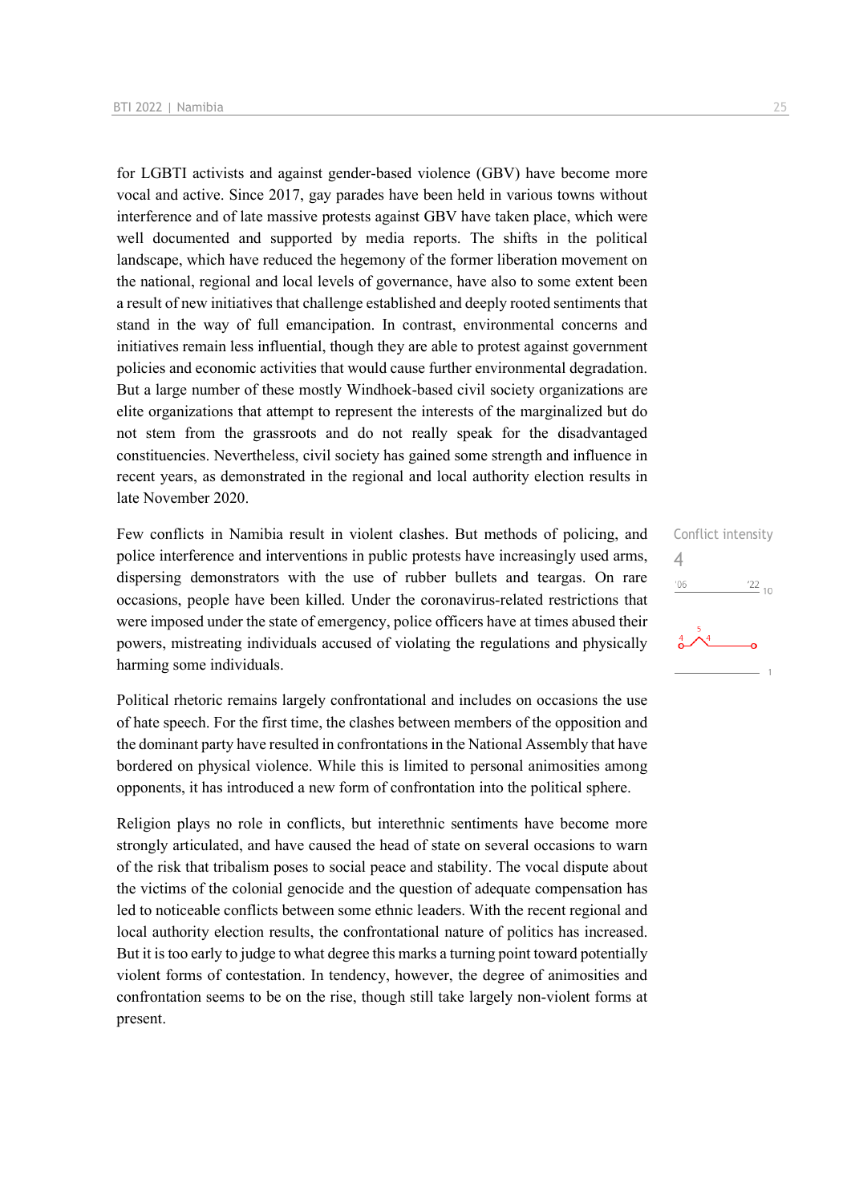for LGBTI activists and against gender-based violence (GBV) have become more vocal and active. Since 2017, gay parades have been held in various towns without interference and of late massive protests against GBV have taken place, which were well documented and supported by media reports. The shifts in the political landscape, which have reduced the hegemony of the former liberation movement on the national, regional and local levels of governance, have also to some extent been a result of new initiatives that challenge established and deeply rooted sentiments that stand in the way of full emancipation. In contrast, environmental concerns and initiatives remain less influential, though they are able to protest against government policies and economic activities that would cause further environmental degradation. But a large number of these mostly Windhoek-based civil society organizations are elite organizations that attempt to represent the interests of the marginalized but do not stem from the grassroots and do not really speak for the disadvantaged constituencies. Nevertheless, civil society has gained some strength and influence in recent years, as demonstrated in the regional and local authority election results in late November 2020.

Few conflicts in Namibia result in violent clashes. But methods of policing, and police interference and interventions in public protests have increasingly used arms, dispersing demonstrators with the use of rubber bullets and teargas. On rare occasions, people have been killed. Under the coronavirus-related restrictions that were imposed under the state of emergency, police officers have at times abused their powers, mistreating individuals accused of violating the regulations and physically harming some individuals.

Political rhetoric remains largely confrontational and includes on occasions the use of hate speech. For the first time, the clashes between members of the opposition and the dominant party have resulted in confrontations in the National Assembly that have bordered on physical violence. While this is limited to personal animosities among opponents, it has introduced a new form of confrontation into the political sphere.

Religion plays no role in conflicts, but interethnic sentiments have become more strongly articulated, and have caused the head of state on several occasions to warn of the risk that tribalism poses to social peace and stability. The vocal dispute about the victims of the colonial genocide and the question of adequate compensation has led to noticeable conflicts between some ethnic leaders. With the recent regional and local authority election results, the confrontational nature of politics has increased. But it is too early to judge to what degree this marks a turning point toward potentially violent forms of contestation. In tendency, however, the degree of animosities and confrontation seems to be on the rise, though still take largely non-violent forms at present.

Conflict intensity 4 $-06$  $\frac{22}{10}$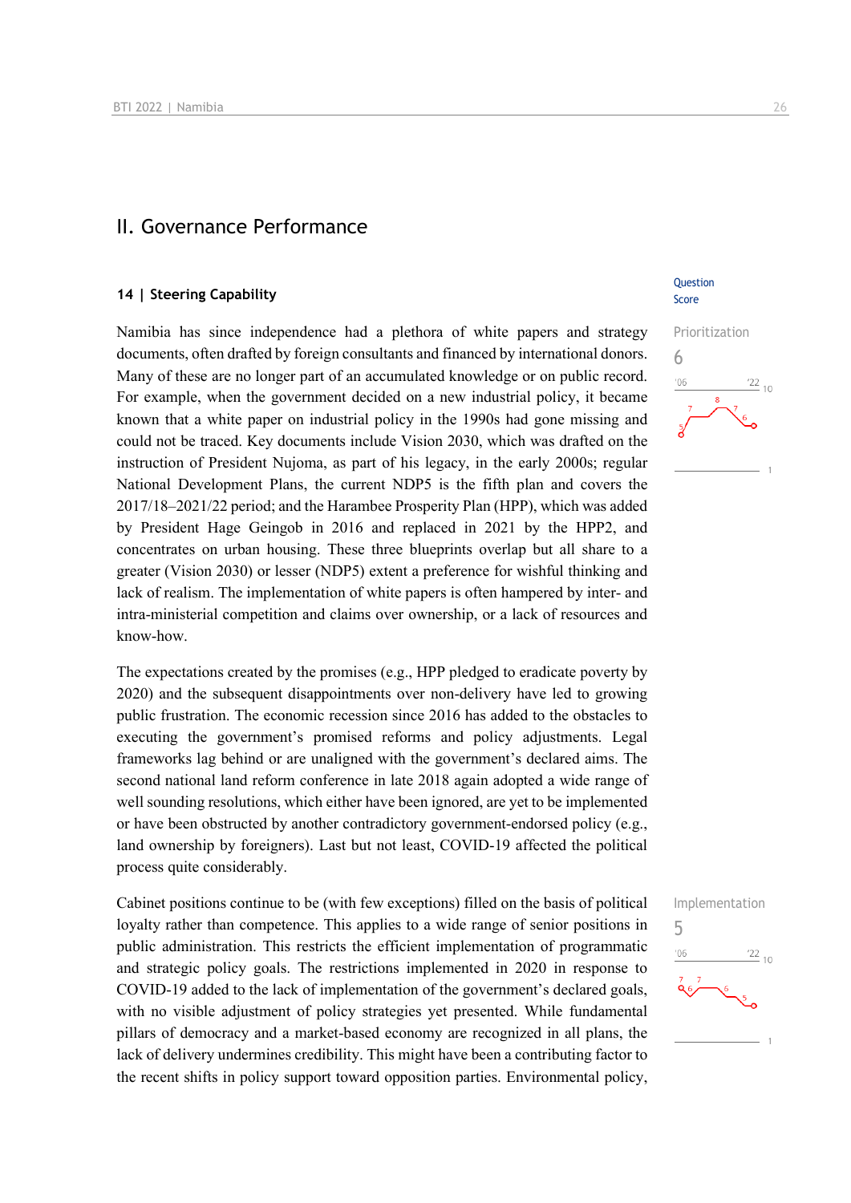### II. Governance Performance

#### **14 | Steering Capability**

Namibia has since independence had a plethora of white papers and strategy documents, often drafted by foreign consultants and financed by international donors. Many of these are no longer part of an accumulated knowledge or on public record. For example, when the government decided on a new industrial policy, it became known that a white paper on industrial policy in the 1990s had gone missing and could not be traced. Key documents include Vision 2030, which was drafted on the instruction of President Nujoma, as part of his legacy, in the early 2000s; regular National Development Plans, the current NDP5 is the fifth plan and covers the 2017/18–2021/22 period; and the Harambee Prosperity Plan (HPP), which was added by President Hage Geingob in 2016 and replaced in 2021 by the HPP2, and concentrates on urban housing. These three blueprints overlap but all share to a greater (Vision 2030) or lesser (NDP5) extent a preference for wishful thinking and lack of realism. The implementation of white papers is often hampered by inter- and intra-ministerial competition and claims over ownership, or a lack of resources and know-how.

The expectations created by the promises (e.g., HPP pledged to eradicate poverty by 2020) and the subsequent disappointments over non-delivery have led to growing public frustration. The economic recession since 2016 has added to the obstacles to executing the government's promised reforms and policy adjustments. Legal frameworks lag behind or are unaligned with the government's declared aims. The second national land reform conference in late 2018 again adopted a wide range of well sounding resolutions, which either have been ignored, are yet to be implemented or have been obstructed by another contradictory government-endorsed policy (e.g., land ownership by foreigners). Last but not least, COVID-19 affected the political process quite considerably.

Cabinet positions continue to be (with few exceptions) filled on the basis of political loyalty rather than competence. This applies to a wide range of senior positions in public administration. This restricts the efficient implementation of programmatic and strategic policy goals. The restrictions implemented in 2020 in response to COVID-19 added to the lack of implementation of the government's declared goals, with no visible adjustment of policy strategies yet presented. While fundamental pillars of democracy and a market-based economy are recognized in all plans, the lack of delivery undermines credibility. This might have been a contributing factor to the recent shifts in policy support toward opposition parties. Environmental policy,

#### **Ouestion** Score



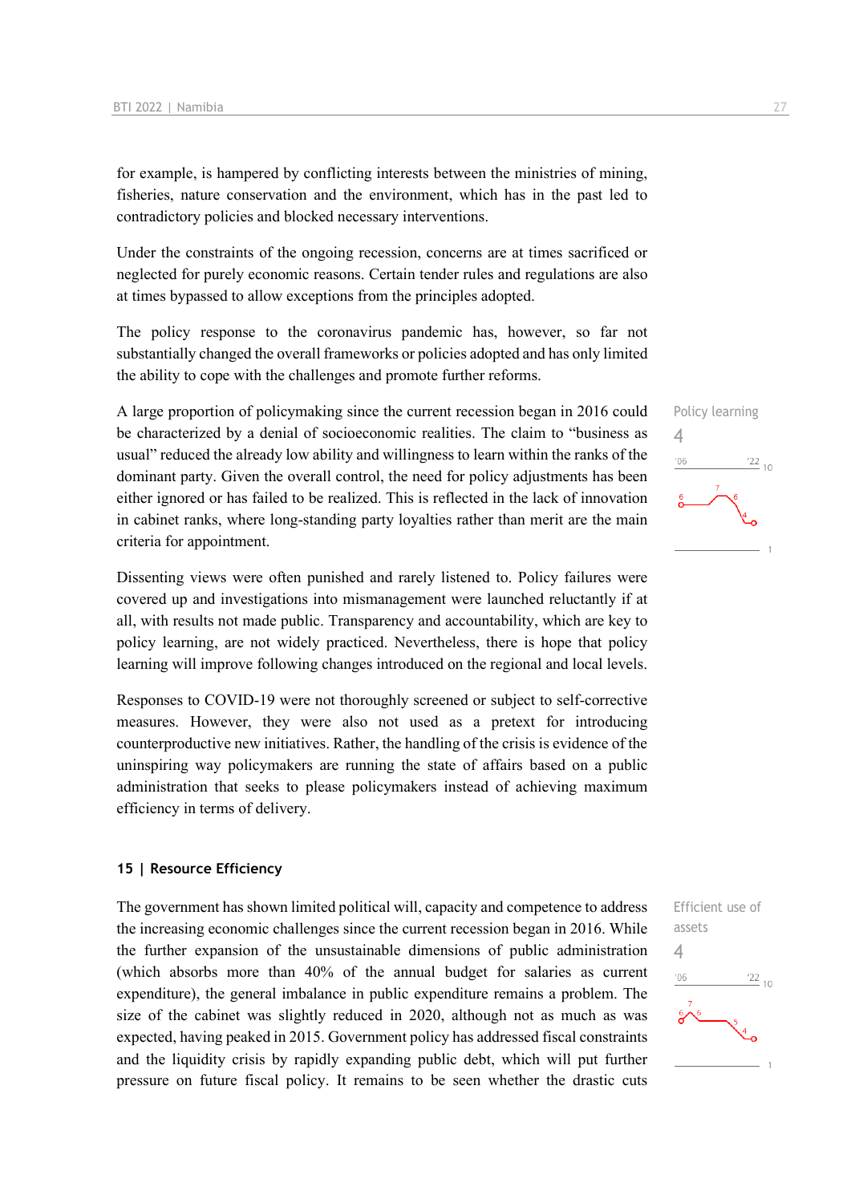for example, is hampered by conflicting interests between the ministries of mining, fisheries, nature conservation and the environment, which has in the past led to contradictory policies and blocked necessary interventions.

Under the constraints of the ongoing recession, concerns are at times sacrificed or neglected for purely economic reasons. Certain tender rules and regulations are also at times bypassed to allow exceptions from the principles adopted.

The policy response to the coronavirus pandemic has, however, so far not substantially changed the overall frameworks or policies adopted and has only limited the ability to cope with the challenges and promote further reforms.

A large proportion of policymaking since the current recession began in 2016 could be characterized by a denial of socioeconomic realities. The claim to "business as usual" reduced the already low ability and willingness to learn within the ranks of the dominant party. Given the overall control, the need for policy adjustments has been either ignored or has failed to be realized. This is reflected in the lack of innovation in cabinet ranks, where long-standing party loyalties rather than merit are the main criteria for appointment.

Dissenting views were often punished and rarely listened to. Policy failures were covered up and investigations into mismanagement were launched reluctantly if at all, with results not made public. Transparency and accountability, which are key to policy learning, are not widely practiced. Nevertheless, there is hope that policy learning will improve following changes introduced on the regional and local levels.

Responses to COVID-19 were not thoroughly screened or subject to self-corrective measures. However, they were also not used as a pretext for introducing counterproductive new initiatives. Rather, the handling of the crisis is evidence of the uninspiring way policymakers are running the state of affairs based on a public administration that seeks to please policymakers instead of achieving maximum efficiency in terms of delivery.

#### **15 | Resource Efficiency**

The government has shown limited political will, capacity and competence to address the increasing economic challenges since the current recession began in 2016. While the further expansion of the unsustainable dimensions of public administration (which absorbs more than 40% of the annual budget for salaries as current expenditure), the general imbalance in public expenditure remains a problem. The size of the cabinet was slightly reduced in 2020, although not as much as was expected, having peaked in 2015. Government policy has addressed fiscal constraints and the liquidity crisis by rapidly expanding public debt, which will put further pressure on future fiscal policy. It remains to be seen whether the drastic cuts



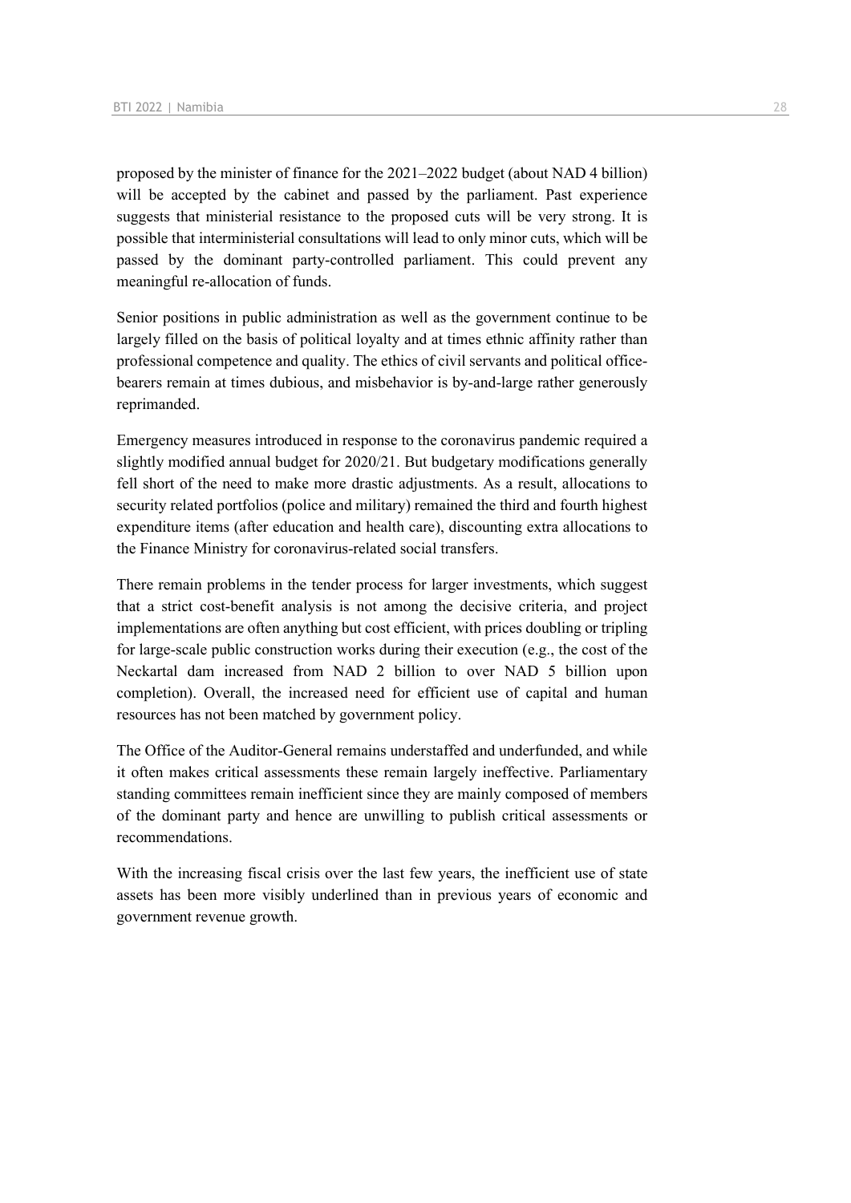proposed by the minister of finance for the 2021–2022 budget (about NAD 4 billion) will be accepted by the cabinet and passed by the parliament. Past experience suggests that ministerial resistance to the proposed cuts will be very strong. It is possible that interministerial consultations will lead to only minor cuts, which will be passed by the dominant party-controlled parliament. This could prevent any meaningful re-allocation of funds.

Senior positions in public administration as well as the government continue to be largely filled on the basis of political loyalty and at times ethnic affinity rather than professional competence and quality. The ethics of civil servants and political officebearers remain at times dubious, and misbehavior is by-and-large rather generously reprimanded.

Emergency measures introduced in response to the coronavirus pandemic required a slightly modified annual budget for 2020/21. But budgetary modifications generally fell short of the need to make more drastic adjustments. As a result, allocations to security related portfolios (police and military) remained the third and fourth highest expenditure items (after education and health care), discounting extra allocations to the Finance Ministry for coronavirus-related social transfers.

There remain problems in the tender process for larger investments, which suggest that a strict cost-benefit analysis is not among the decisive criteria, and project implementations are often anything but cost efficient, with prices doubling or tripling for large-scale public construction works during their execution (e.g., the cost of the Neckartal dam increased from NAD 2 billion to over NAD 5 billion upon completion). Overall, the increased need for efficient use of capital and human resources has not been matched by government policy.

The Office of the Auditor-General remains understaffed and underfunded, and while it often makes critical assessments these remain largely ineffective. Parliamentary standing committees remain inefficient since they are mainly composed of members of the dominant party and hence are unwilling to publish critical assessments or recommendations.

With the increasing fiscal crisis over the last few years, the inefficient use of state assets has been more visibly underlined than in previous years of economic and government revenue growth.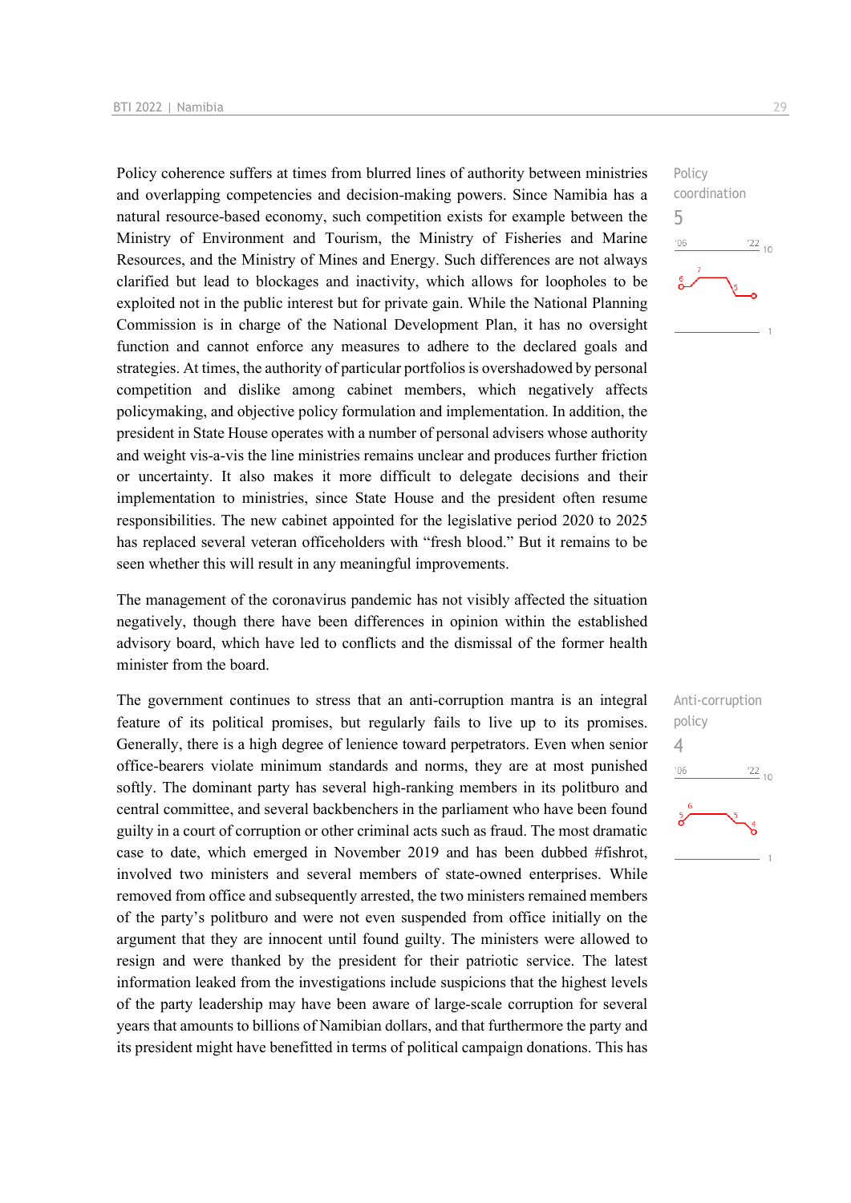Policy coherence suffers at times from blurred lines of authority between ministries and overlapping competencies and decision-making powers. Since Namibia has a natural resource-based economy, such competition exists for example between the Ministry of Environment and Tourism, the Ministry of Fisheries and Marine Resources, and the Ministry of Mines and Energy. Such differences are not always clarified but lead to blockages and inactivity, which allows for loopholes to be exploited not in the public interest but for private gain. While the National Planning Commission is in charge of the National Development Plan, it has no oversight function and cannot enforce any measures to adhere to the declared goals and strategies. At times, the authority of particular portfolios is overshadowed by personal competition and dislike among cabinet members, which negatively affects policymaking, and objective policy formulation and implementation. In addition, the president in State House operates with a number of personal advisers whose authority and weight vis-a-vis the line ministries remains unclear and produces further friction or uncertainty. It also makes it more difficult to delegate decisions and their implementation to ministries, since State House and the president often resume responsibilities. The new cabinet appointed for the legislative period 2020 to 2025 has replaced several veteran officeholders with "fresh blood." But it remains to be seen whether this will result in any meaningful improvements.

The management of the coronavirus pandemic has not visibly affected the situation negatively, though there have been differences in opinion within the established advisory board, which have led to conflicts and the dismissal of the former health minister from the board.

The government continues to stress that an anti-corruption mantra is an integral feature of its political promises, but regularly fails to live up to its promises. Generally, there is a high degree of lenience toward perpetrators. Even when senior office-bearers violate minimum standards and norms, they are at most punished softly. The dominant party has several high-ranking members in its politburo and central committee, and several backbenchers in the parliament who have been found guilty in a court of corruption or other criminal acts such as fraud. The most dramatic case to date, which emerged in November 2019 and has been dubbed #fishrot, involved two ministers and several members of state-owned enterprises. While removed from office and subsequently arrested, the two ministers remained members of the party's politburo and were not even suspended from office initially on the argument that they are innocent until found guilty. The ministers were allowed to resign and were thanked by the president for their patriotic service. The latest information leaked from the investigations include suspicions that the highest levels of the party leadership may have been aware of large-scale corruption for several years that amounts to billions of Namibian dollars, and that furthermore the party and its president might have benefitted in terms of political campaign donations. This has



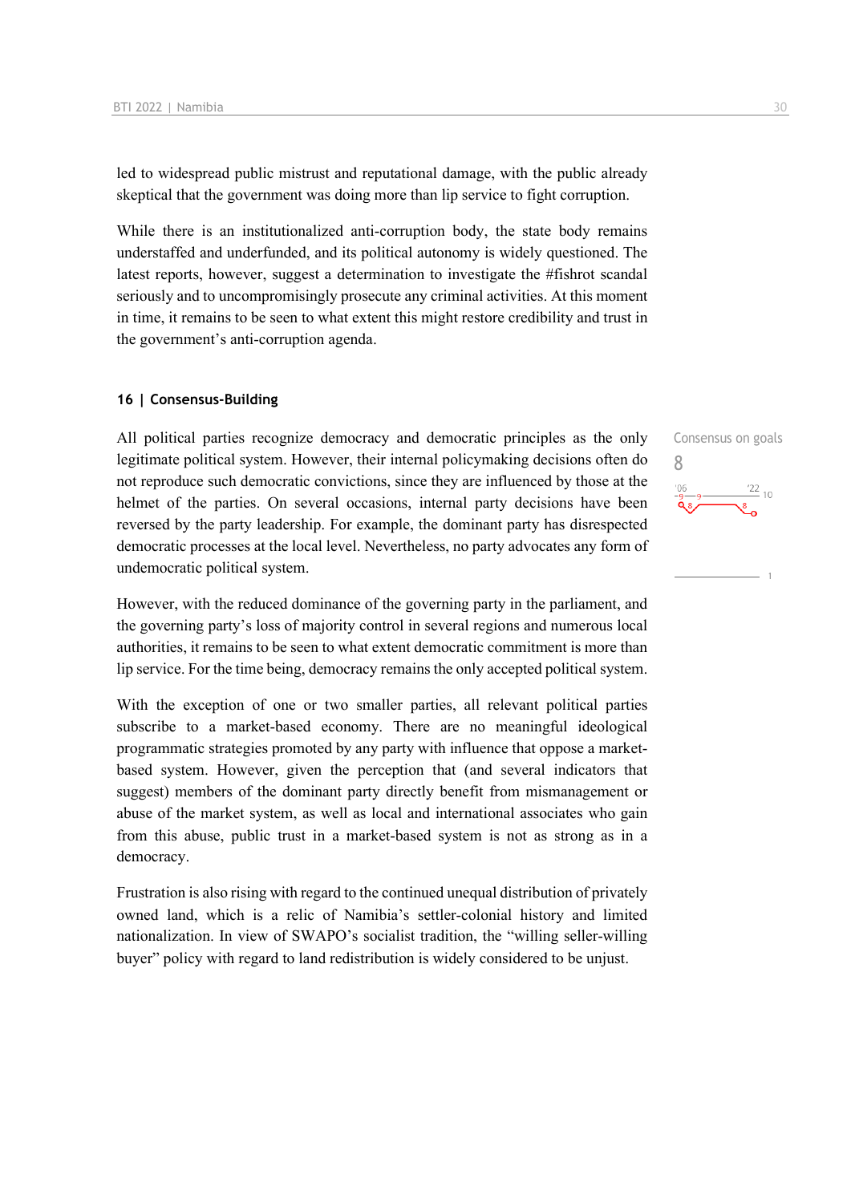led to widespread public mistrust and reputational damage, with the public already skeptical that the government was doing more than lip service to fight corruption.

While there is an institutionalized anti-corruption body, the state body remains understaffed and underfunded, and its political autonomy is widely questioned. The latest reports, however, suggest a determination to investigate the #fishrot scandal seriously and to uncompromisingly prosecute any criminal activities. At this moment in time, it remains to be seen to what extent this might restore credibility and trust in the government's anti-corruption agenda.

#### **16 | Consensus-Building**

All political parties recognize democracy and democratic principles as the only legitimate political system. However, their internal policymaking decisions often do not reproduce such democratic convictions, since they are influenced by those at the helmet of the parties. On several occasions, internal party decisions have been reversed by the party leadership. For example, the dominant party has disrespected democratic processes at the local level. Nevertheless, no party advocates any form of undemocratic political system.

However, with the reduced dominance of the governing party in the parliament, and the governing party's loss of majority control in several regions and numerous local authorities, it remains to be seen to what extent democratic commitment is more than lip service. For the time being, democracy remains the only accepted political system.

With the exception of one or two smaller parties, all relevant political parties subscribe to a market-based economy. There are no meaningful ideological programmatic strategies promoted by any party with influence that oppose a marketbased system. However, given the perception that (and several indicators that suggest) members of the dominant party directly benefit from mismanagement or abuse of the market system, as well as local and international associates who gain from this abuse, public trust in a market-based system is not as strong as in a democracy.

Frustration is also rising with regard to the continued unequal distribution of privately owned land, which is a relic of Namibia's settler-colonial history and limited nationalization. In view of SWAPO's socialist tradition, the "willing seller-willing buyer" policy with regard to land redistribution is widely considered to be unjust.

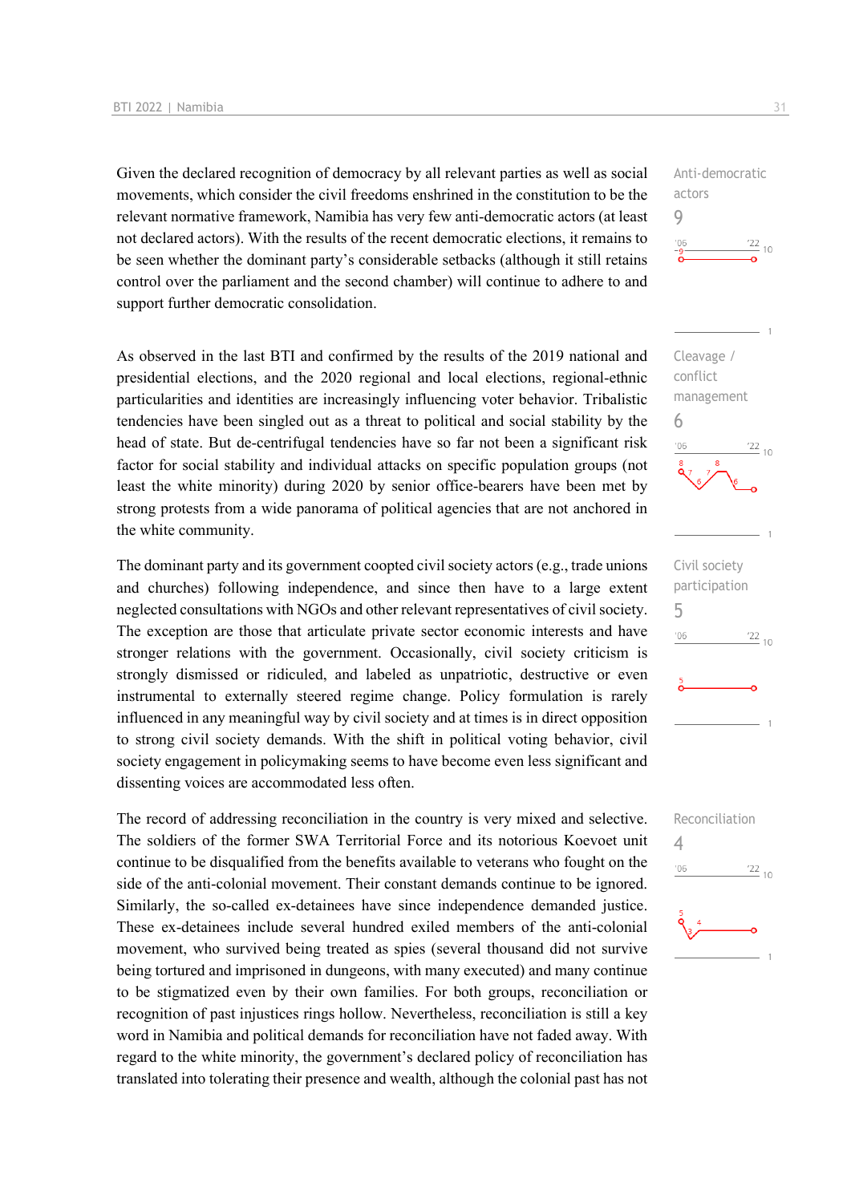Given the declared recognition of democracy by all relevant parties as well as social movements, which consider the civil freedoms enshrined in the constitution to be the relevant normative framework, Namibia has very few anti-democratic actors (at least not declared actors). With the results of the recent democratic elections, it remains to be seen whether the dominant party's considerable setbacks (although it still retains control over the parliament and the second chamber) will continue to adhere to and support further democratic consolidation.

As observed in the last BTI and confirmed by the results of the 2019 national and presidential elections, and the 2020 regional and local elections, regional-ethnic particularities and identities are increasingly influencing voter behavior. Tribalistic tendencies have been singled out as a threat to political and social stability by the head of state. But de-centrifugal tendencies have so far not been a significant risk factor for social stability and individual attacks on specific population groups (not least the white minority) during 2020 by senior office-bearers have been met by strong protests from a wide panorama of political agencies that are not anchored in the white community.

The dominant party and its government coopted civil society actors (e.g., trade unions and churches) following independence, and since then have to a large extent neglected consultations with NGOs and other relevant representatives of civil society. The exception are those that articulate private sector economic interests and have stronger relations with the government. Occasionally, civil society criticism is strongly dismissed or ridiculed, and labeled as unpatriotic, destructive or even instrumental to externally steered regime change. Policy formulation is rarely influenced in any meaningful way by civil society and at times is in direct opposition to strong civil society demands. With the shift in political voting behavior, civil society engagement in policymaking seems to have become even less significant and dissenting voices are accommodated less often.

The record of addressing reconciliation in the country is very mixed and selective. The soldiers of the former SWA Territorial Force and its notorious Koevoet unit continue to be disqualified from the benefits available to veterans who fought on the side of the anti-colonial movement. Their constant demands continue to be ignored. Similarly, the so-called ex-detainees have since independence demanded justice. These ex-detainees include several hundred exiled members of the anti-colonial movement, who survived being treated as spies (several thousand did not survive being tortured and imprisoned in dungeons, with many executed) and many continue to be stigmatized even by their own families. For both groups, reconciliation or recognition of past injustices rings hollow. Nevertheless, reconciliation is still a key word in Namibia and political demands for reconciliation have not faded away. With regard to the white minority, the government's declared policy of reconciliation has translated into tolerating their presence and wealth, although the colonial past has not

Anti-democratic actors 9  $\frac{22}{10}$ 



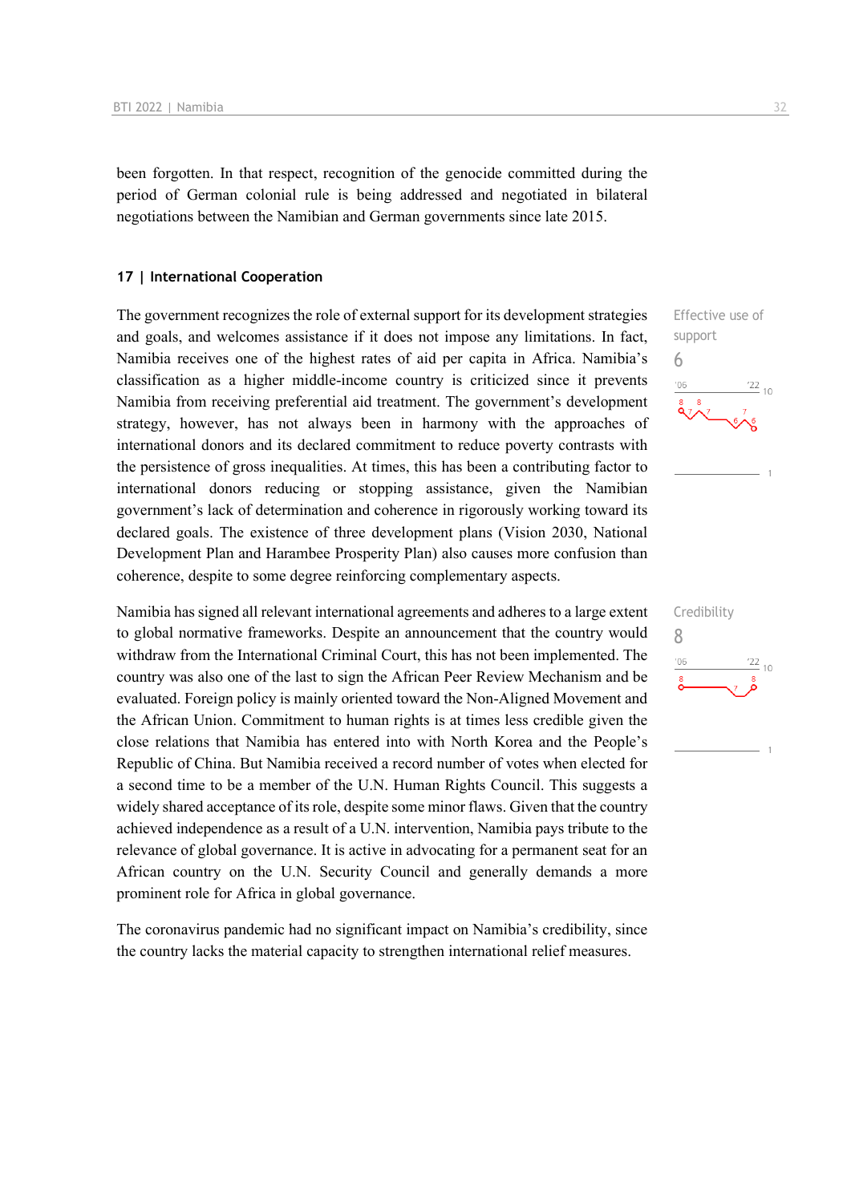been forgotten. In that respect, recognition of the genocide committed during the period of German colonial rule is being addressed and negotiated in bilateral negotiations between the Namibian and German governments since late 2015.

#### **17 | International Cooperation**

The government recognizes the role of external support for its development strategies and goals, and welcomes assistance if it does not impose any limitations. In fact, Namibia receives one of the highest rates of aid per capita in Africa. Namibia's classification as a higher middle-income country is criticized since it prevents Namibia from receiving preferential aid treatment. The government's development strategy, however, has not always been in harmony with the approaches of international donors and its declared commitment to reduce poverty contrasts with the persistence of gross inequalities. At times, this has been a contributing factor to international donors reducing or stopping assistance, given the Namibian government's lack of determination and coherence in rigorously working toward its declared goals. The existence of three development plans (Vision 2030, National Development Plan and Harambee Prosperity Plan) also causes more confusion than coherence, despite to some degree reinforcing complementary aspects.

Namibia has signed all relevant international agreements and adheres to a large extent to global normative frameworks. Despite an announcement that the country would withdraw from the International Criminal Court, this has not been implemented. The country was also one of the last to sign the African Peer Review Mechanism and be evaluated. Foreign policy is mainly oriented toward the Non-Aligned Movement and the African Union. Commitment to human rights is at times less credible given the close relations that Namibia has entered into with North Korea and the People's Republic of China. But Namibia received a record number of votes when elected for a second time to be a member of the U.N. Human Rights Council. This suggests a widely shared acceptance of its role, despite some minor flaws. Given that the country achieved independence as a result of a U.N. intervention, Namibia pays tribute to the relevance of global governance. It is active in advocating for a permanent seat for an African country on the U.N. Security Council and generally demands a more prominent role for Africa in global governance.

The coronavirus pandemic had no significant impact on Namibia's credibility, since the country lacks the material capacity to strengthen international relief measures.

## Effective use of support 6  $^{\prime}06$  $\frac{22}{10}$

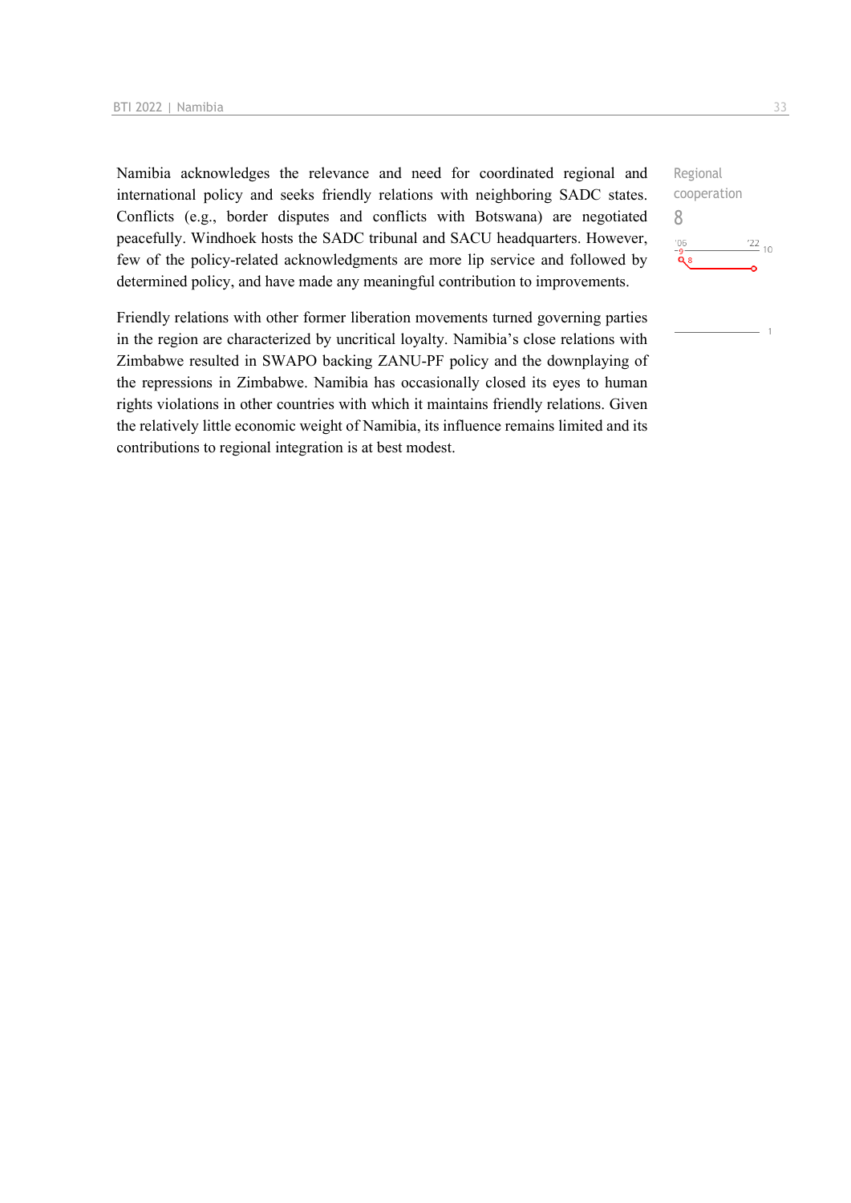Namibia acknowledges the relevance and need for coordinated regional and international policy and seeks friendly relations with neighboring SADC states. Conflicts (e.g., border disputes and conflicts with Botswana) are negotiated peacefully. Windhoek hosts the SADC tribunal and SACU headquarters. However, few of the policy-related acknowledgments are more lip service and followed by determined policy, and have made any meaningful contribution to improvements.

Friendly relations with other former liberation movements turned governing parties in the region are characterized by uncritical loyalty. Namibia's close relations with Zimbabwe resulted in SWAPO backing ZANU-PF policy and the downplaying of the repressions in Zimbabwe. Namibia has occasionally closed its eyes to human rights violations in other countries with which it maintains friendly relations. Given the relatively little economic weight of Namibia, its influence remains limited and its contributions to regional integration is at best modest.

Regional cooperation 8 $\frac{22}{10}$  $106$  $\tilde{\mathbf{Q}}$  8

 $\overline{1}$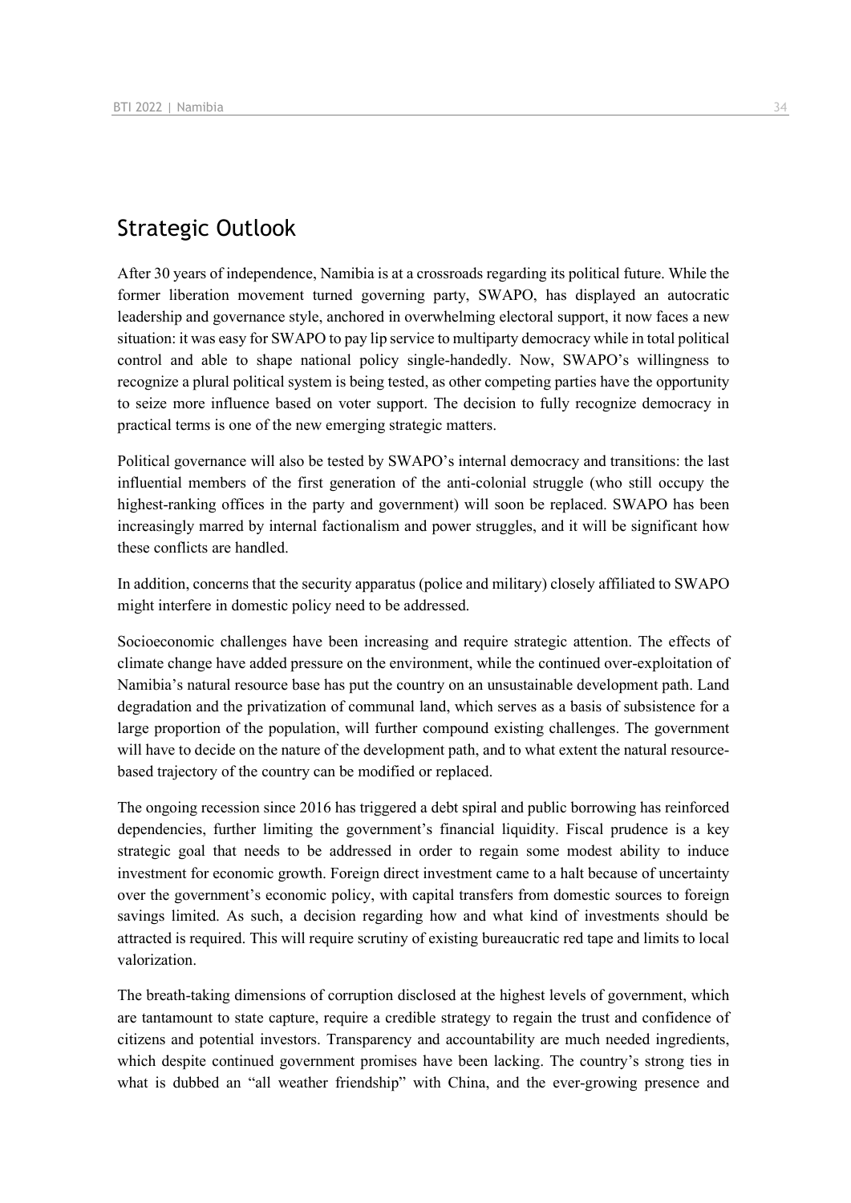## Strategic Outlook

After 30 years of independence, Namibia is at a crossroads regarding its political future. While the former liberation movement turned governing party, SWAPO, has displayed an autocratic leadership and governance style, anchored in overwhelming electoral support, it now faces a new situation: it was easy for SWAPO to pay lip service to multiparty democracy while in total political control and able to shape national policy single-handedly. Now, SWAPO's willingness to recognize a plural political system is being tested, as other competing parties have the opportunity to seize more influence based on voter support. The decision to fully recognize democracy in practical terms is one of the new emerging strategic matters.

Political governance will also be tested by SWAPO's internal democracy and transitions: the last influential members of the first generation of the anti-colonial struggle (who still occupy the highest-ranking offices in the party and government) will soon be replaced. SWAPO has been increasingly marred by internal factionalism and power struggles, and it will be significant how these conflicts are handled.

In addition, concerns that the security apparatus (police and military) closely affiliated to SWAPO might interfere in domestic policy need to be addressed.

Socioeconomic challenges have been increasing and require strategic attention. The effects of climate change have added pressure on the environment, while the continued over-exploitation of Namibia's natural resource base has put the country on an unsustainable development path. Land degradation and the privatization of communal land, which serves as a basis of subsistence for a large proportion of the population, will further compound existing challenges. The government will have to decide on the nature of the development path, and to what extent the natural resourcebased trajectory of the country can be modified or replaced.

The ongoing recession since 2016 has triggered a debt spiral and public borrowing has reinforced dependencies, further limiting the government's financial liquidity. Fiscal prudence is a key strategic goal that needs to be addressed in order to regain some modest ability to induce investment for economic growth. Foreign direct investment came to a halt because of uncertainty over the government's economic policy, with capital transfers from domestic sources to foreign savings limited. As such, a decision regarding how and what kind of investments should be attracted is required. This will require scrutiny of existing bureaucratic red tape and limits to local valorization.

The breath-taking dimensions of corruption disclosed at the highest levels of government, which are tantamount to state capture, require a credible strategy to regain the trust and confidence of citizens and potential investors. Transparency and accountability are much needed ingredients, which despite continued government promises have been lacking. The country's strong ties in what is dubbed an "all weather friendship" with China, and the ever-growing presence and